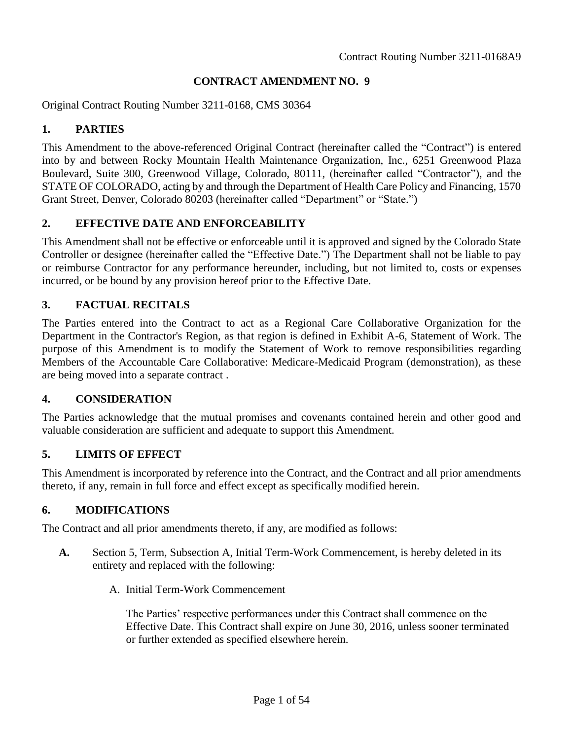#### **CONTRACT AMENDMENT NO. 9**

Original Contract Routing Number 3211-0168, CMS 30364

### **1. PARTIES**

This Amendment to the above-referenced Original Contract (hereinafter called the "Contract") is entered into by and between Rocky Mountain Health Maintenance Organization, Inc., 6251 Greenwood Plaza Boulevard, Suite 300, Greenwood Village, Colorado, 80111, (hereinafter called "Contractor"), and the STATE OF COLORADO, acting by and through the Department of Health Care Policy and Financing, 1570 Grant Street, Denver, Colorado 80203 (hereinafter called "Department" or "State.")

## **2. EFFECTIVE DATE AND ENFORCEABILITY**

This Amendment shall not be effective or enforceable until it is approved and signed by the Colorado State Controller or designee (hereinafter called the "Effective Date.") The Department shall not be liable to pay or reimburse Contractor for any performance hereunder, including, but not limited to, costs or expenses incurred, or be bound by any provision hereof prior to the Effective Date.

### **3. FACTUAL RECITALS**

The Parties entered into the Contract to act as a Regional Care Collaborative Organization for the Department in the Contractor's Region, as that region is defined in Exhibit A-6, Statement of Work. The purpose of this Amendment is to modify the Statement of Work to remove responsibilities regarding Members of the Accountable Care Collaborative: Medicare-Medicaid Program (demonstration), as these are being moved into a separate contract .

### **4. CONSIDERATION**

The Parties acknowledge that the mutual promises and covenants contained herein and other good and valuable consideration are sufficient and adequate to support this Amendment.

### **5. LIMITS OF EFFECT**

This Amendment is incorporated by reference into the Contract, and the Contract and all prior amendments thereto, if any, remain in full force and effect except as specifically modified herein.

### **6. MODIFICATIONS**

The Contract and all prior amendments thereto, if any, are modified as follows:

- **A.** Section 5, Term, Subsection A, Initial Term-Work Commencement, is hereby deleted in its entirety and replaced with the following:
	- A. Initial Term-Work Commencement

The Parties' respective performances under this Contract shall commence on the Effective Date. This Contract shall expire on June 30, 2016, unless sooner terminated or further extended as specified elsewhere herein.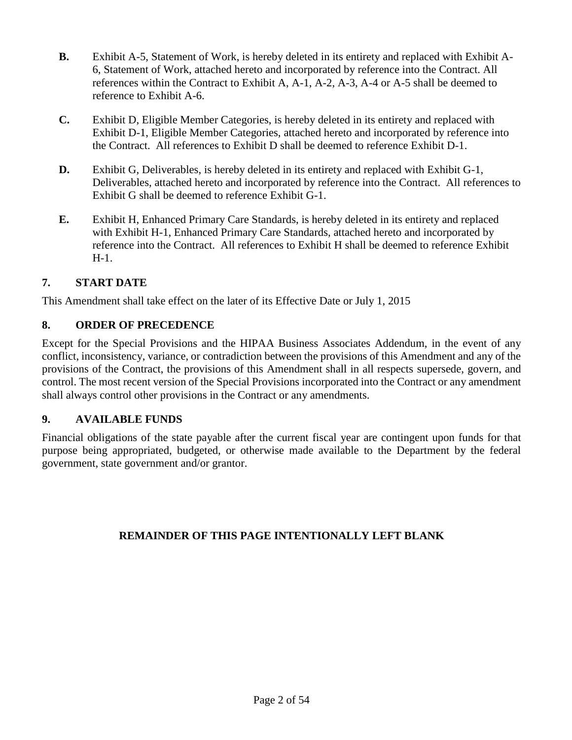- **B.** Exhibit A-5, Statement of Work, is hereby deleted in its entirety and replaced with Exhibit A-6, Statement of Work, attached hereto and incorporated by reference into the Contract. All references within the Contract to Exhibit A, A-1, A-2, A-3, A-4 or A-5 shall be deemed to reference to Exhibit A-6.
- **C.** Exhibit D, Eligible Member Categories, is hereby deleted in its entirety and replaced with Exhibit D-1, Eligible Member Categories, attached hereto and incorporated by reference into the Contract. All references to Exhibit D shall be deemed to reference Exhibit D-1.
- **D.** Exhibit G, Deliverables, is hereby deleted in its entirety and replaced with Exhibit G-1, Deliverables, attached hereto and incorporated by reference into the Contract. All references to Exhibit G shall be deemed to reference Exhibit G-1.
- **E.** Exhibit H, Enhanced Primary Care Standards, is hereby deleted in its entirety and replaced with Exhibit H-1, Enhanced Primary Care Standards, attached hereto and incorporated by reference into the Contract. All references to Exhibit H shall be deemed to reference Exhibit H-1.

# **7. START DATE**

This Amendment shall take effect on the later of its Effective Date or July 1, 2015

# **8. ORDER OF PRECEDENCE**

Except for the Special Provisions and the HIPAA Business Associates Addendum, in the event of any conflict, inconsistency, variance, or contradiction between the provisions of this Amendment and any of the provisions of the Contract, the provisions of this Amendment shall in all respects supersede, govern, and control. The most recent version of the Special Provisions incorporated into the Contract or any amendment shall always control other provisions in the Contract or any amendments.

# **9. AVAILABLE FUNDS**

Financial obligations of the state payable after the current fiscal year are contingent upon funds for that purpose being appropriated, budgeted, or otherwise made available to the Department by the federal government, state government and/or grantor.

# **REMAINDER OF THIS PAGE INTENTIONALLY LEFT BLANK**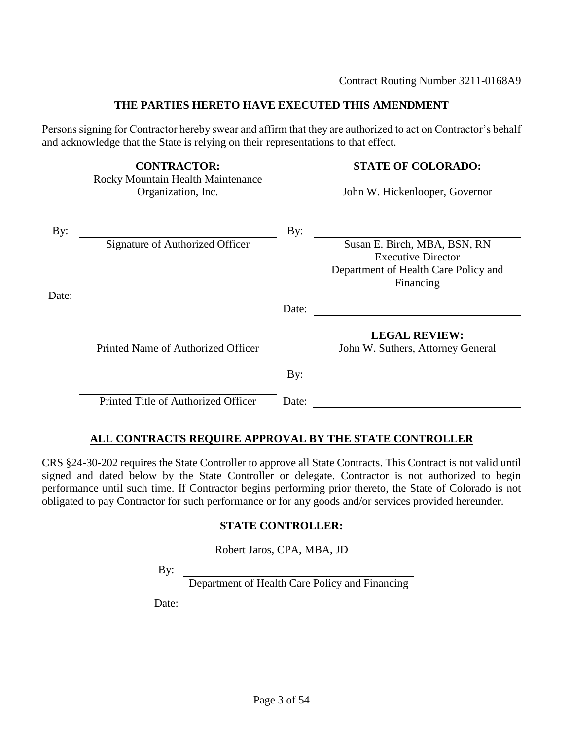#### **THE PARTIES HERETO HAVE EXECUTED THIS AMENDMENT**

Persons signing for Contractor hereby swear and affirm that they are authorized to act on Contractor's behalf and acknowledge that the State is relying on their representations to that effect.

Rocky Mountain Health Maintenance Organization, Inc. Solution of John W. Hickenlooper, Governor

#### **CONTRACTOR: STATE OF COLORADO:**

| By:   |                                     | By:   |                                      |
|-------|-------------------------------------|-------|--------------------------------------|
|       | Signature of Authorized Officer     |       | Susan E. Birch, MBA, BSN, RN         |
|       |                                     |       | <b>Executive Director</b>            |
|       |                                     |       | Department of Health Care Policy and |
|       |                                     |       | Financing                            |
| Date: |                                     |       |                                      |
|       |                                     | Date: |                                      |
|       |                                     |       | <b>LEGAL REVIEW:</b>                 |
|       | Printed Name of Authorized Officer  |       | John W. Suthers, Attorney General    |
|       |                                     | By:   |                                      |
|       | Printed Title of Authorized Officer | Date: |                                      |

### **ALL CONTRACTS REQUIRE APPROVAL BY THE STATE CONTROLLER**

CRS §24-30-202 requires the State Controller to approve all State Contracts. This Contract is not valid until signed and dated below by the State Controller or delegate. Contractor is not authorized to begin performance until such time. If Contractor begins performing prior thereto, the State of Colorado is not obligated to pay Contractor for such performance or for any goods and/or services provided hereunder.

#### **STATE CONTROLLER:**

Robert Jaros, CPA, MBA, JD

By:

Department of Health Care Policy and Financing

Date: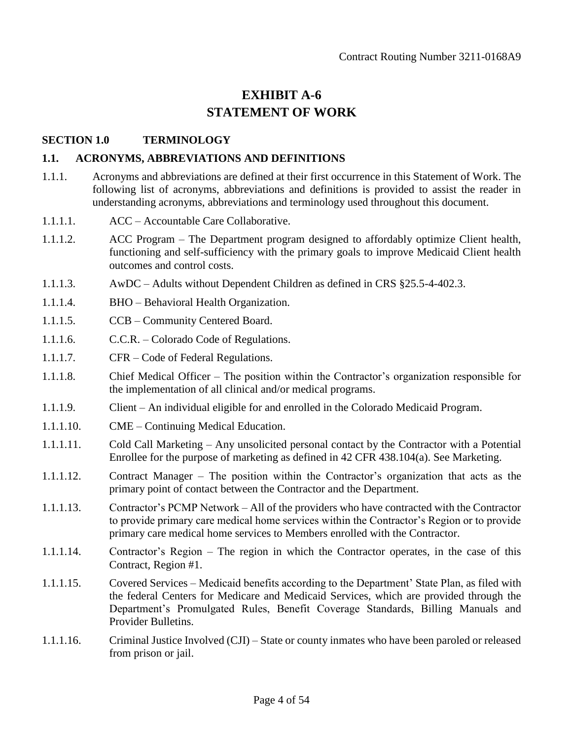# **EXHIBIT A-6 STATEMENT OF WORK**

### **SECTION 1.0 TERMINOLOGY**

#### **1.1. ACRONYMS, ABBREVIATIONS AND DEFINITIONS**

- 1.1.1. Acronyms and abbreviations are defined at their first occurrence in this Statement of Work. The following list of acronyms, abbreviations and definitions is provided to assist the reader in understanding acronyms, abbreviations and terminology used throughout this document.
- 1.1.1.1. ACC Accountable Care Collaborative.
- 1.1.1.2. ACC Program The Department program designed to affordably optimize Client health, functioning and self-sufficiency with the primary goals to improve Medicaid Client health outcomes and control costs.
- 1.1.1.3. AwDC Adults without Dependent Children as defined in CRS §25.5-4-402.3.
- 1.1.1.4. BHO Behavioral Health Organization.
- 1.1.1.5. CCB Community Centered Board.
- 1.1.1.6. C.C.R. Colorado Code of Regulations.
- 1.1.1.7. CFR Code of Federal Regulations.
- 1.1.1.8. Chief Medical Officer The position within the Contractor's organization responsible for the implementation of all clinical and/or medical programs.
- 1.1.1.9. Client An individual eligible for and enrolled in the Colorado Medicaid Program.
- 1.1.1.10. CME Continuing Medical Education.
- 1.1.1.11. Cold Call Marketing Any unsolicited personal contact by the Contractor with a Potential Enrollee for the purpose of marketing as defined in 42 CFR 438.104(a). See Marketing.
- 1.1.1.12. Contract Manager The position within the Contractor's organization that acts as the primary point of contact between the Contractor and the Department.
- 1.1.1.13. Contractor's PCMP Network All of the providers who have contracted with the Contractor to provide primary care medical home services within the Contractor's Region or to provide primary care medical home services to Members enrolled with the Contractor.
- 1.1.1.14. Contractor's Region The region in which the Contractor operates, in the case of this Contract, Region #1.
- 1.1.1.15. Covered Services Medicaid benefits according to the Department' State Plan, as filed with the federal Centers for Medicare and Medicaid Services, which are provided through the Department's Promulgated Rules, Benefit Coverage Standards, Billing Manuals and Provider Bulletins.
- 1.1.1.16. Criminal Justice Involved (CJI) State or county inmates who have been paroled or released from prison or jail.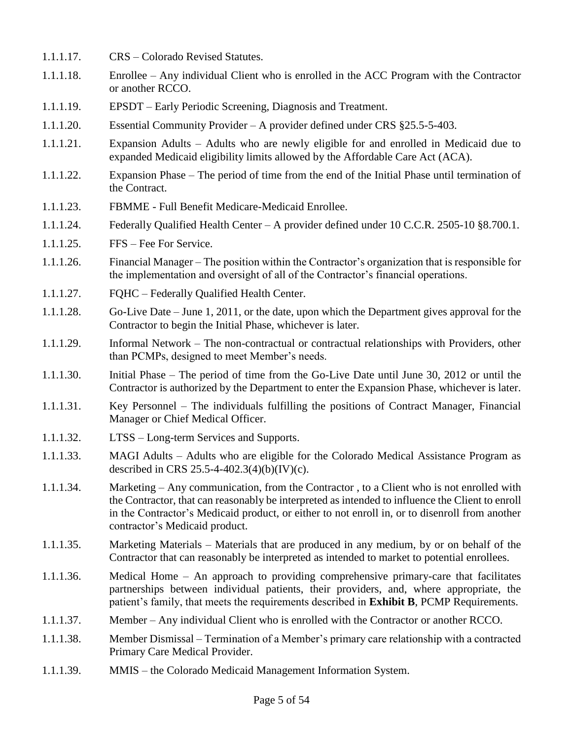- 1.1.1.17. CRS Colorado Revised Statutes.
- 1.1.1.18. Enrollee Any individual Client who is enrolled in the ACC Program with the Contractor or another RCCO.
- 1.1.1.19. EPSDT Early Periodic Screening, Diagnosis and Treatment.
- 1.1.1.20. Essential Community Provider A provider defined under CRS §25.5-5-403.
- 1.1.1.21. Expansion Adults Adults who are newly eligible for and enrolled in Medicaid due to expanded Medicaid eligibility limits allowed by the Affordable Care Act (ACA).
- 1.1.1.22. Expansion Phase The period of time from the end of the Initial Phase until termination of the Contract.
- 1.1.1.23. FBMME Full Benefit Medicare-Medicaid Enrollee.
- 1.1.1.24. Federally Qualified Health Center A provider defined under 10 C.C.R. 2505-10 §8.700.1.
- 1.1.1.25. FFS Fee For Service.
- 1.1.1.26. Financial Manager The position within the Contractor's organization that is responsible for the implementation and oversight of all of the Contractor's financial operations.
- 1.1.1.27. FQHC Federally Qualified Health Center.
- 1.1.1.28. Go-Live Date June 1, 2011, or the date, upon which the Department gives approval for the Contractor to begin the Initial Phase, whichever is later.
- 1.1.1.29. Informal Network The non-contractual or contractual relationships with Providers, other than PCMPs, designed to meet Member's needs.
- 1.1.1.30. Initial Phase The period of time from the Go-Live Date until June 30, 2012 or until the Contractor is authorized by the Department to enter the Expansion Phase, whichever is later.
- 1.1.1.31. Key Personnel The individuals fulfilling the positions of Contract Manager, Financial Manager or Chief Medical Officer.
- 1.1.1.32. LTSS Long-term Services and Supports.
- 1.1.1.33. MAGI Adults Adults who are eligible for the Colorado Medical Assistance Program as described in CRS 25.5-4-402.3(4)(b)(IV)(c).
- 1.1.1.34. Marketing Any communication, from the Contractor , to a Client who is not enrolled with the Contractor, that can reasonably be interpreted as intended to influence the Client to enroll in the Contractor's Medicaid product, or either to not enroll in, or to disenroll from another contractor's Medicaid product.
- 1.1.1.35. Marketing Materials Materials that are produced in any medium, by or on behalf of the Contractor that can reasonably be interpreted as intended to market to potential enrollees.
- 1.1.1.36. Medical Home An approach to providing comprehensive primary-care that facilitates partnerships between individual patients, their providers, and, where appropriate, the patient's family, that meets the requirements described in **Exhibit B**, PCMP Requirements.
- 1.1.1.37. Member Any individual Client who is enrolled with the Contractor or another RCCO.
- 1.1.1.38. Member Dismissal Termination of a Member's primary care relationship with a contracted Primary Care Medical Provider.
- 1.1.1.39. MMIS the Colorado Medicaid Management Information System.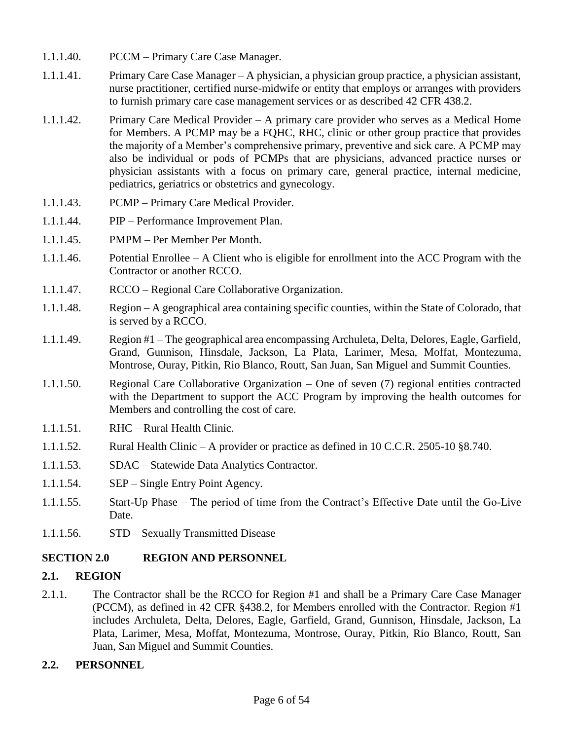- 1.1.1.40. PCCM Primary Care Case Manager.
- 1.1.1.41. Primary Care Case Manager A physician, a physician group practice, a physician assistant, nurse practitioner, certified nurse-midwife or entity that employs or arranges with providers to furnish primary care case management services or as described 42 CFR 438.2.
- 1.1.1.42. Primary Care Medical Provider A primary care provider who serves as a Medical Home for Members. A PCMP may be a FQHC, RHC, clinic or other group practice that provides the majority of a Member's comprehensive primary, preventive and sick care. A PCMP may also be individual or pods of PCMPs that are physicians, advanced practice nurses or physician assistants with a focus on primary care, general practice, internal medicine, pediatrics, geriatrics or obstetrics and gynecology.
- 1.1.1.43. PCMP Primary Care Medical Provider.
- 1.1.1.44. PIP Performance Improvement Plan.
- 1.1.1.45. PMPM Per Member Per Month.
- 1.1.1.46. Potential Enrollee A Client who is eligible for enrollment into the ACC Program with the Contractor or another RCCO.
- 1.1.1.47. RCCO Regional Care Collaborative Organization.
- 1.1.1.48. Region A geographical area containing specific counties, within the State of Colorado, that is served by a RCCO.
- 1.1.1.49. Region #1 The geographical area encompassing Archuleta, Delta, Delores, Eagle, Garfield, Grand, Gunnison, Hinsdale, Jackson, La Plata, Larimer, Mesa, Moffat, Montezuma, Montrose, Ouray, Pitkin, Rio Blanco, Routt, San Juan, San Miguel and Summit Counties.
- 1.1.1.50. Regional Care Collaborative Organization One of seven (7) regional entities contracted with the Department to support the ACC Program by improving the health outcomes for Members and controlling the cost of care.
- 1.1.1.51. RHC Rural Health Clinic.
- 1.1.1.52. Rural Health Clinic A provider or practice as defined in 10 C.C.R. 2505-10 §8.740.
- 1.1.1.53. SDAC Statewide Data Analytics Contractor.
- 1.1.1.54. SEP Single Entry Point Agency.
- 1.1.1.55. Start-Up Phase The period of time from the Contract's Effective Date until the Go-Live Date.
- 1.1.1.56. STD Sexually Transmitted Disease

### **SECTION 2.0 REGION AND PERSONNEL**

#### **2.1. REGION**

2.1.1. The Contractor shall be the RCCO for Region #1 and shall be a Primary Care Case Manager (PCCM), as defined in 42 CFR §438.2, for Members enrolled with the Contractor. Region #1 includes Archuleta, Delta, Delores, Eagle, Garfield, Grand, Gunnison, Hinsdale, Jackson, La Plata, Larimer, Mesa, Moffat, Montezuma, Montrose, Ouray, Pitkin, Rio Blanco, Routt, San Juan, San Miguel and Summit Counties.

### **2.2. PERSONNEL**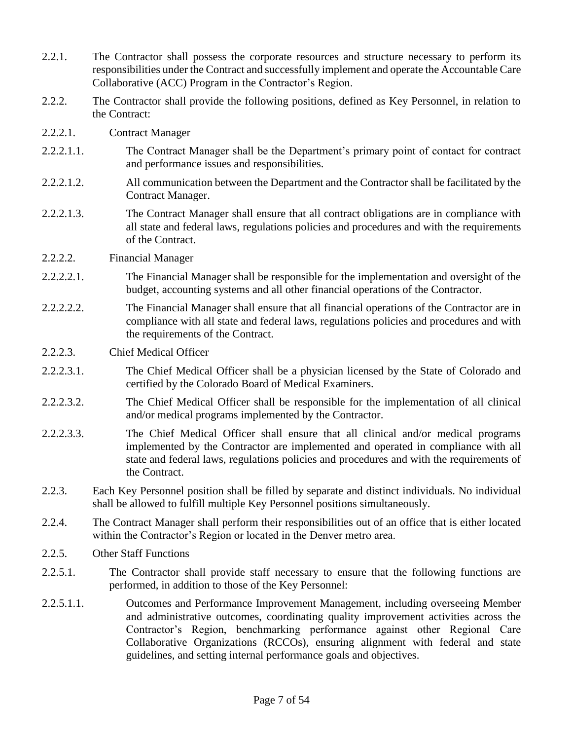- 2.2.1. The Contractor shall possess the corporate resources and structure necessary to perform its responsibilities under the Contract and successfully implement and operate the Accountable Care Collaborative (ACC) Program in the Contractor's Region.
- 2.2.2. The Contractor shall provide the following positions, defined as Key Personnel, in relation to the Contract:
- 2.2.2.1. Contract Manager
- 2.2.2.1.1. The Contract Manager shall be the Department's primary point of contact for contract and performance issues and responsibilities.
- 2.2.2.1.2. All communication between the Department and the Contractor shall be facilitated by the Contract Manager.
- 2.2.2.1.3. The Contract Manager shall ensure that all contract obligations are in compliance with all state and federal laws, regulations policies and procedures and with the requirements of the Contract.
- 2.2.2.2. Financial Manager
- 2.2.2.2.1. The Financial Manager shall be responsible for the implementation and oversight of the budget, accounting systems and all other financial operations of the Contractor.
- 2.2.2.2.2. The Financial Manager shall ensure that all financial operations of the Contractor are in compliance with all state and federal laws, regulations policies and procedures and with the requirements of the Contract.
- 2.2.2.3. Chief Medical Officer
- 2.2.2.3.1. The Chief Medical Officer shall be a physician licensed by the State of Colorado and certified by the Colorado Board of Medical Examiners.
- 2.2.2.3.2. The Chief Medical Officer shall be responsible for the implementation of all clinical and/or medical programs implemented by the Contractor.
- 2.2.2.3.3. The Chief Medical Officer shall ensure that all clinical and/or medical programs implemented by the Contractor are implemented and operated in compliance with all state and federal laws, regulations policies and procedures and with the requirements of the Contract.
- 2.2.3. Each Key Personnel position shall be filled by separate and distinct individuals. No individual shall be allowed to fulfill multiple Key Personnel positions simultaneously.
- 2.2.4. The Contract Manager shall perform their responsibilities out of an office that is either located within the Contractor's Region or located in the Denver metro area.
- 2.2.5. Other Staff Functions
- 2.2.5.1. The Contractor shall provide staff necessary to ensure that the following functions are performed, in addition to those of the Key Personnel:
- 2.2.5.1.1. Outcomes and Performance Improvement Management, including overseeing Member and administrative outcomes, coordinating quality improvement activities across the Contractor's Region, benchmarking performance against other Regional Care Collaborative Organizations (RCCOs), ensuring alignment with federal and state guidelines, and setting internal performance goals and objectives.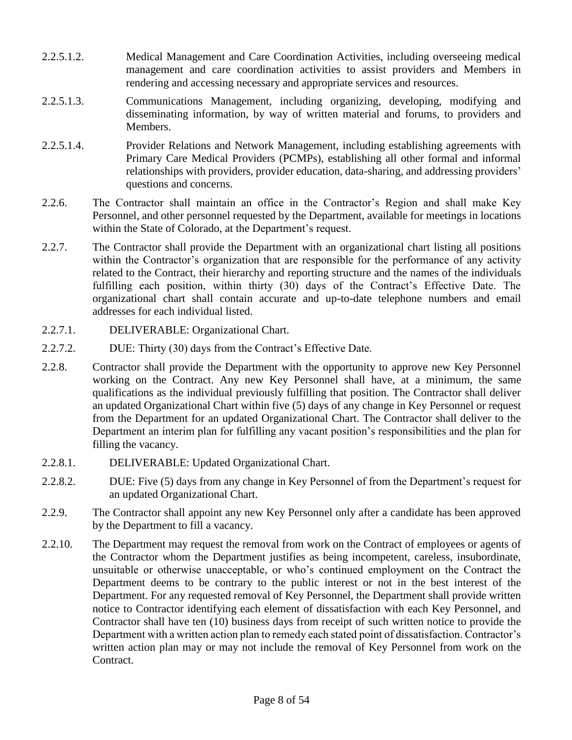- 2.2.5.1.2. Medical Management and Care Coordination Activities, including overseeing medical management and care coordination activities to assist providers and Members in rendering and accessing necessary and appropriate services and resources.
- 2.2.5.1.3. Communications Management, including organizing, developing, modifying and disseminating information, by way of written material and forums, to providers and Members.
- 2.2.5.1.4. Provider Relations and Network Management, including establishing agreements with Primary Care Medical Providers (PCMPs), establishing all other formal and informal relationships with providers, provider education, data-sharing, and addressing providers' questions and concerns.
- 2.2.6. The Contractor shall maintain an office in the Contractor's Region and shall make Key Personnel, and other personnel requested by the Department, available for meetings in locations within the State of Colorado, at the Department's request.
- 2.2.7. The Contractor shall provide the Department with an organizational chart listing all positions within the Contractor's organization that are responsible for the performance of any activity related to the Contract, their hierarchy and reporting structure and the names of the individuals fulfilling each position, within thirty (30) days of the Contract's Effective Date. The organizational chart shall contain accurate and up-to-date telephone numbers and email addresses for each individual listed.
- 2.2.7.1. DELIVERABLE: Organizational Chart.
- 2.2.7.2. DUE: Thirty (30) days from the Contract's Effective Date.
- 2.2.8. Contractor shall provide the Department with the opportunity to approve new Key Personnel working on the Contract. Any new Key Personnel shall have, at a minimum, the same qualifications as the individual previously fulfilling that position. The Contractor shall deliver an updated Organizational Chart within five (5) days of any change in Key Personnel or request from the Department for an updated Organizational Chart. The Contractor shall deliver to the Department an interim plan for fulfilling any vacant position's responsibilities and the plan for filling the vacancy.
- 2.2.8.1. DELIVERABLE: Updated Organizational Chart.
- 2.2.8.2. DUE: Five (5) days from any change in Key Personnel of from the Department's request for an updated Organizational Chart.
- 2.2.9. The Contractor shall appoint any new Key Personnel only after a candidate has been approved by the Department to fill a vacancy.
- 2.2.10. The Department may request the removal from work on the Contract of employees or agents of the Contractor whom the Department justifies as being incompetent, careless, insubordinate, unsuitable or otherwise unacceptable, or who's continued employment on the Contract the Department deems to be contrary to the public interest or not in the best interest of the Department. For any requested removal of Key Personnel, the Department shall provide written notice to Contractor identifying each element of dissatisfaction with each Key Personnel, and Contractor shall have ten (10) business days from receipt of such written notice to provide the Department with a written action plan to remedy each stated point of dissatisfaction. Contractor's written action plan may or may not include the removal of Key Personnel from work on the Contract.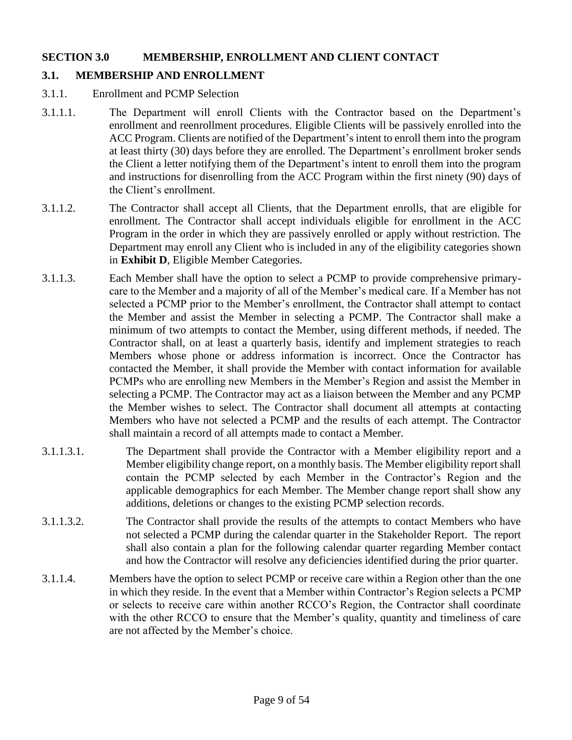#### **SECTION 3.0 MEMBERSHIP, ENROLLMENT AND CLIENT CONTACT**

## **3.1. MEMBERSHIP AND ENROLLMENT**

- 3.1.1. Enrollment and PCMP Selection
- 3.1.1.1. The Department will enroll Clients with the Contractor based on the Department's enrollment and reenrollment procedures. Eligible Clients will be passively enrolled into the ACC Program. Clients are notified of the Department's intent to enroll them into the program at least thirty (30) days before they are enrolled. The Department's enrollment broker sends the Client a letter notifying them of the Department's intent to enroll them into the program and instructions for disenrolling from the ACC Program within the first ninety (90) days of the Client's enrollment.
- 3.1.1.2. The Contractor shall accept all Clients, that the Department enrolls, that are eligible for enrollment. The Contractor shall accept individuals eligible for enrollment in the ACC Program in the order in which they are passively enrolled or apply without restriction. The Department may enroll any Client who is included in any of the eligibility categories shown in **Exhibit D**, Eligible Member Categories.
- 3.1.1.3. Each Member shall have the option to select a PCMP to provide comprehensive primarycare to the Member and a majority of all of the Member's medical care. If a Member has not selected a PCMP prior to the Member's enrollment, the Contractor shall attempt to contact the Member and assist the Member in selecting a PCMP. The Contractor shall make a minimum of two attempts to contact the Member, using different methods, if needed. The Contractor shall, on at least a quarterly basis, identify and implement strategies to reach Members whose phone or address information is incorrect. Once the Contractor has contacted the Member, it shall provide the Member with contact information for available PCMPs who are enrolling new Members in the Member's Region and assist the Member in selecting a PCMP. The Contractor may act as a liaison between the Member and any PCMP the Member wishes to select. The Contractor shall document all attempts at contacting Members who have not selected a PCMP and the results of each attempt. The Contractor shall maintain a record of all attempts made to contact a Member.
- 3.1.1.3.1. The Department shall provide the Contractor with a Member eligibility report and a Member eligibility change report, on a monthly basis. The Member eligibility report shall contain the PCMP selected by each Member in the Contractor's Region and the applicable demographics for each Member. The Member change report shall show any additions, deletions or changes to the existing PCMP selection records.
- 3.1.1.3.2. The Contractor shall provide the results of the attempts to contact Members who have not selected a PCMP during the calendar quarter in the Stakeholder Report. The report shall also contain a plan for the following calendar quarter regarding Member contact and how the Contractor will resolve any deficiencies identified during the prior quarter.
- 3.1.1.4. Members have the option to select PCMP or receive care within a Region other than the one in which they reside. In the event that a Member within Contractor's Region selects a PCMP or selects to receive care within another RCCO's Region, the Contractor shall coordinate with the other RCCO to ensure that the Member's quality, quantity and timeliness of care are not affected by the Member's choice.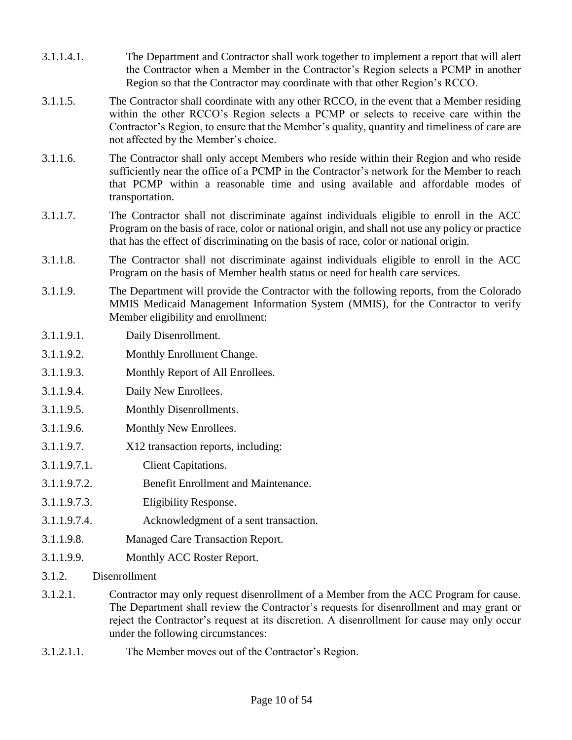- 3.1.1.4.1. The Department and Contractor shall work together to implement a report that will alert the Contractor when a Member in the Contractor's Region selects a PCMP in another Region so that the Contractor may coordinate with that other Region's RCCO.
- 3.1.1.5. The Contractor shall coordinate with any other RCCO, in the event that a Member residing within the other RCCO's Region selects a PCMP or selects to receive care within the Contractor's Region, to ensure that the Member's quality, quantity and timeliness of care are not affected by the Member's choice.
- 3.1.1.6. The Contractor shall only accept Members who reside within their Region and who reside sufficiently near the office of a PCMP in the Contractor's network for the Member to reach that PCMP within a reasonable time and using available and affordable modes of transportation.
- 3.1.1.7. The Contractor shall not discriminate against individuals eligible to enroll in the ACC Program on the basis of race, color or national origin, and shall not use any policy or practice that has the effect of discriminating on the basis of race, color or national origin.
- 3.1.1.8. The Contractor shall not discriminate against individuals eligible to enroll in the ACC Program on the basis of Member health status or need for health care services.
- 3.1.1.9. The Department will provide the Contractor with the following reports, from the Colorado MMIS Medicaid Management Information System (MMIS), for the Contractor to verify Member eligibility and enrollment:
- 3.1.1.9.1. Daily Disenrollment.
- 3.1.1.9.2. Monthly Enrollment Change.
- 3.1.1.9.3. Monthly Report of All Enrollees.
- 3.1.1.9.4. Daily New Enrollees.
- 3.1.1.9.5. Monthly Disenrollments.
- 3.1.1.9.6. Monthly New Enrollees.
- 3.1.1.9.7. X12 transaction reports, including:
- 3.1.1.9.7.1. Client Capitations.
- 3.1.1.9.7.2. Benefit Enrollment and Maintenance.
- 3.1.1.9.7.3. Eligibility Response.
- 3.1.1.9.7.4. Acknowledgment of a sent transaction.
- 3.1.1.9.8. Managed Care Transaction Report.
- 3.1.1.9.9. Monthly ACC Roster Report.
- 3.1.2. Disenrollment
- 3.1.2.1. Contractor may only request disenrollment of a Member from the ACC Program for cause. The Department shall review the Contractor's requests for disenrollment and may grant or reject the Contractor's request at its discretion. A disenrollment for cause may only occur under the following circumstances:
- 3.1.2.1.1. The Member moves out of the Contractor's Region.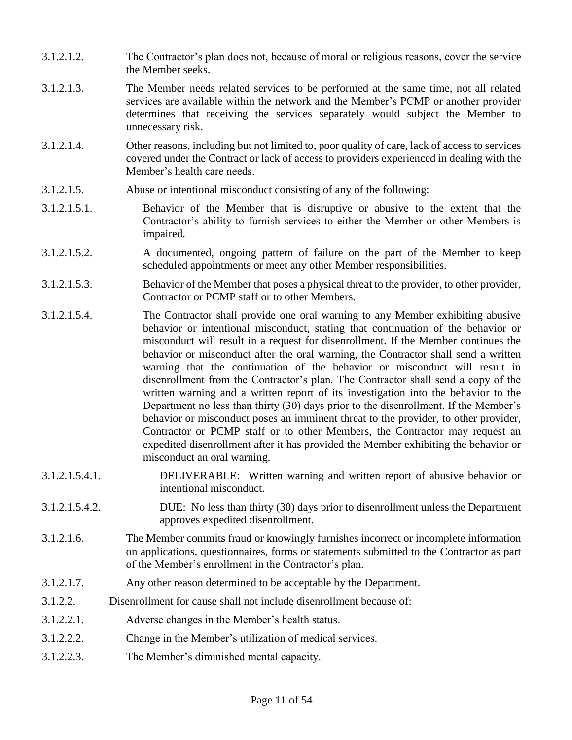- 3.1.2.1.2. The Contractor's plan does not, because of moral or religious reasons, cover the service the Member seeks.
- 3.1.2.1.3. The Member needs related services to be performed at the same time, not all related services are available within the network and the Member's PCMP or another provider determines that receiving the services separately would subject the Member to unnecessary risk.
- 3.1.2.1.4. Other reasons, including but not limited to, poor quality of care, lack of access to services covered under the Contract or lack of access to providers experienced in dealing with the Member's health care needs.
- 3.1.2.1.5. Abuse or intentional misconduct consisting of any of the following:
- 3.1.2.1.5.1. Behavior of the Member that is disruptive or abusive to the extent that the Contractor's ability to furnish services to either the Member or other Members is impaired.
- 3.1.2.1.5.2. A documented, ongoing pattern of failure on the part of the Member to keep scheduled appointments or meet any other Member responsibilities.
- 3.1.2.1.5.3. Behavior of the Member that poses a physical threat to the provider, to other provider, Contractor or PCMP staff or to other Members.
- 3.1.2.1.5.4. The Contractor shall provide one oral warning to any Member exhibiting abusive behavior or intentional misconduct, stating that continuation of the behavior or misconduct will result in a request for disenrollment. If the Member continues the behavior or misconduct after the oral warning, the Contractor shall send a written warning that the continuation of the behavior or misconduct will result in disenrollment from the Contractor's plan. The Contractor shall send a copy of the written warning and a written report of its investigation into the behavior to the Department no less than thirty (30) days prior to the disenrollment. If the Member's behavior or misconduct poses an imminent threat to the provider, to other provider, Contractor or PCMP staff or to other Members, the Contractor may request an expedited disenrollment after it has provided the Member exhibiting the behavior or misconduct an oral warning.
- 3.1.2.1.5.4.1. DELIVERABLE: Written warning and written report of abusive behavior or intentional misconduct.
- 3.1.2.1.5.4.2. DUE: No less than thirty (30) days prior to disenrollment unless the Department approves expedited disenrollment.
- 3.1.2.1.6. The Member commits fraud or knowingly furnishes incorrect or incomplete information on applications, questionnaires, forms or statements submitted to the Contractor as part of the Member's enrollment in the Contractor's plan.
- 3.1.2.1.7. Any other reason determined to be acceptable by the Department.
- 3.1.2.2. Disenrollment for cause shall not include disenrollment because of:
- 3.1.2.2.1. Adverse changes in the Member's health status.
- 3.1.2.2.2. Change in the Member's utilization of medical services.
- 3.1.2.2.3. The Member's diminished mental capacity.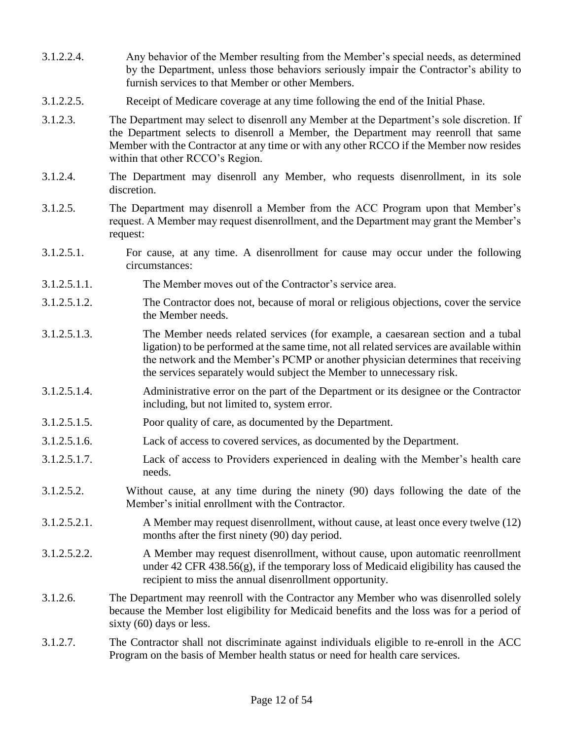- 3.1.2.2.4. Any behavior of the Member resulting from the Member's special needs, as determined by the Department, unless those behaviors seriously impair the Contractor's ability to furnish services to that Member or other Members.
- 3.1.2.2.5. Receipt of Medicare coverage at any time following the end of the Initial Phase.
- 3.1.2.3. The Department may select to disenroll any Member at the Department's sole discretion. If the Department selects to disenroll a Member, the Department may reenroll that same Member with the Contractor at any time or with any other RCCO if the Member now resides within that other RCCO's Region.
- 3.1.2.4. The Department may disenroll any Member, who requests disenrollment, in its sole discretion.
- 3.1.2.5. The Department may disenroll a Member from the ACC Program upon that Member's request. A Member may request disenrollment, and the Department may grant the Member's request:
- 3.1.2.5.1. For cause, at any time. A disenrollment for cause may occur under the following circumstances:
- 3.1.2.5.1.1. The Member moves out of the Contractor's service area.
- 3.1.2.5.1.2. The Contractor does not, because of moral or religious objections, cover the service the Member needs.
- 3.1.2.5.1.3. The Member needs related services (for example, a caesarean section and a tubal ligation) to be performed at the same time, not all related services are available within the network and the Member's PCMP or another physician determines that receiving the services separately would subject the Member to unnecessary risk.
- 3.1.2.5.1.4. Administrative error on the part of the Department or its designee or the Contractor including, but not limited to, system error.
- 3.1.2.5.1.5. Poor quality of care, as documented by the Department.
- 3.1.2.5.1.6. Lack of access to covered services, as documented by the Department.
- 3.1.2.5.1.7. Lack of access to Providers experienced in dealing with the Member's health care needs.
- 3.1.2.5.2. Without cause, at any time during the ninety (90) days following the date of the Member's initial enrollment with the Contractor.
- 3.1.2.5.2.1. A Member may request disenrollment, without cause, at least once every twelve (12) months after the first ninety (90) day period.
- 3.1.2.5.2.2. A Member may request disenrollment, without cause, upon automatic reenrollment under 42 CFR 438.56(g), if the temporary loss of Medicaid eligibility has caused the recipient to miss the annual disenrollment opportunity.
- 3.1.2.6. The Department may reenroll with the Contractor any Member who was disenrolled solely because the Member lost eligibility for Medicaid benefits and the loss was for a period of sixty (60) days or less.
- 3.1.2.7. The Contractor shall not discriminate against individuals eligible to re-enroll in the ACC Program on the basis of Member health status or need for health care services.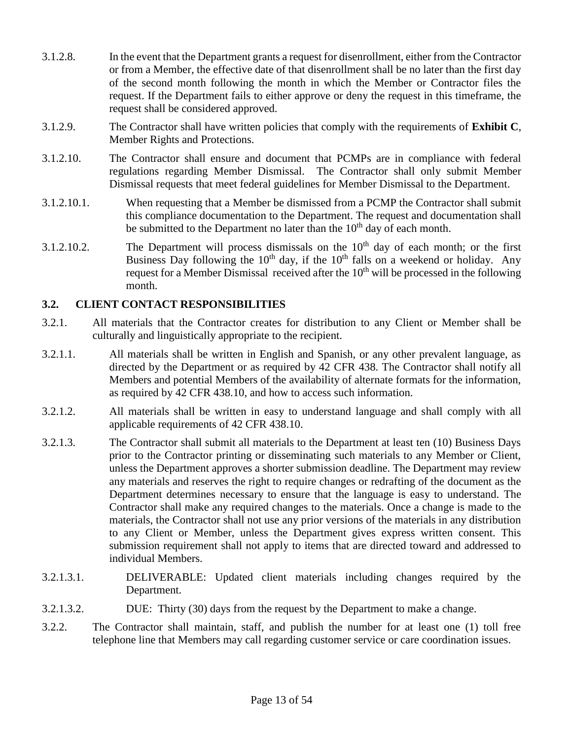- 3.1.2.8. In the event that the Department grants a request for disenrollment, either from the Contractor or from a Member, the effective date of that disenrollment shall be no later than the first day of the second month following the month in which the Member or Contractor files the request. If the Department fails to either approve or deny the request in this timeframe, the request shall be considered approved.
- 3.1.2.9. The Contractor shall have written policies that comply with the requirements of **Exhibit C**, Member Rights and Protections.
- 3.1.2.10. The Contractor shall ensure and document that PCMPs are in compliance with federal regulations regarding Member Dismissal. The Contractor shall only submit Member Dismissal requests that meet federal guidelines for Member Dismissal to the Department.
- 3.1.2.10.1. When requesting that a Member be dismissed from a PCMP the Contractor shall submit this compliance documentation to the Department. The request and documentation shall be submitted to the Department no later than the  $10<sup>th</sup>$  day of each month.
- 3.1.2.10.2. The Department will process dismissals on the  $10<sup>th</sup>$  day of each month; or the first Business Day following the  $10<sup>th</sup>$  day, if the  $10<sup>th</sup>$  falls on a weekend or holiday. Any request for a Member Dismissal received after the 10<sup>th</sup> will be processed in the following month.

### **3.2. CLIENT CONTACT RESPONSIBILITIES**

- 3.2.1. All materials that the Contractor creates for distribution to any Client or Member shall be culturally and linguistically appropriate to the recipient.
- 3.2.1.1. All materials shall be written in English and Spanish, or any other prevalent language, as directed by the Department or as required by 42 CFR 438. The Contractor shall notify all Members and potential Members of the availability of alternate formats for the information, as required by 42 CFR 438.10, and how to access such information.
- 3.2.1.2. All materials shall be written in easy to understand language and shall comply with all applicable requirements of 42 CFR 438.10.
- 3.2.1.3. The Contractor shall submit all materials to the Department at least ten (10) Business Days prior to the Contractor printing or disseminating such materials to any Member or Client, unless the Department approves a shorter submission deadline. The Department may review any materials and reserves the right to require changes or redrafting of the document as the Department determines necessary to ensure that the language is easy to understand. The Contractor shall make any required changes to the materials. Once a change is made to the materials, the Contractor shall not use any prior versions of the materials in any distribution to any Client or Member, unless the Department gives express written consent. This submission requirement shall not apply to items that are directed toward and addressed to individual Members.
- 3.2.1.3.1. DELIVERABLE: Updated client materials including changes required by the Department.
- 3.2.1.3.2. DUE: Thirty (30) days from the request by the Department to make a change.
- 3.2.2. The Contractor shall maintain, staff, and publish the number for at least one (1) toll free telephone line that Members may call regarding customer service or care coordination issues.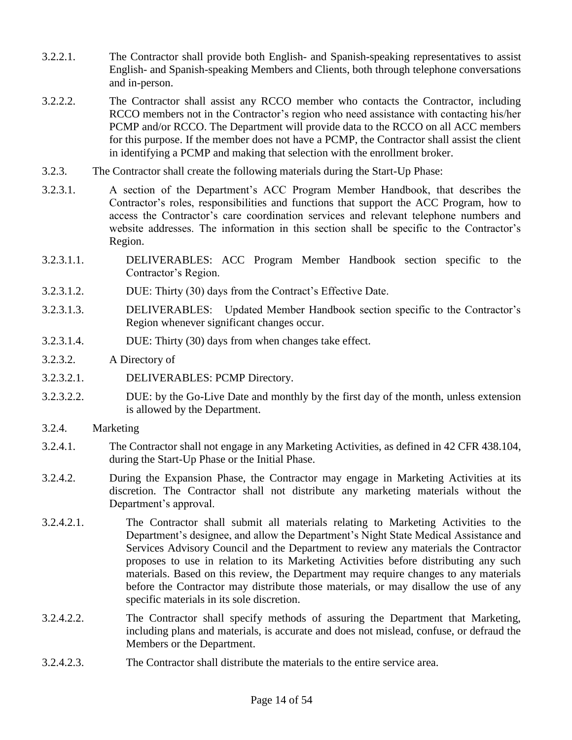- 3.2.2.1. The Contractor shall provide both English- and Spanish-speaking representatives to assist English- and Spanish-speaking Members and Clients, both through telephone conversations and in-person.
- 3.2.2.2. The Contractor shall assist any RCCO member who contacts the Contractor, including RCCO members not in the Contractor's region who need assistance with contacting his/her PCMP and/or RCCO. The Department will provide data to the RCCO on all ACC members for this purpose. If the member does not have a PCMP, the Contractor shall assist the client in identifying a PCMP and making that selection with the enrollment broker.
- 3.2.3. The Contractor shall create the following materials during the Start-Up Phase:
- 3.2.3.1. A section of the Department's ACC Program Member Handbook, that describes the Contractor's roles, responsibilities and functions that support the ACC Program, how to access the Contractor's care coordination services and relevant telephone numbers and website addresses. The information in this section shall be specific to the Contractor's Region.
- 3.2.3.1.1. DELIVERABLES: ACC Program Member Handbook section specific to the Contractor's Region.
- 3.2.3.1.2. DUE: Thirty (30) days from the Contract's Effective Date.
- 3.2.3.1.3. DELIVERABLES: Updated Member Handbook section specific to the Contractor's Region whenever significant changes occur.
- 3.2.3.1.4. DUE: Thirty (30) days from when changes take effect.
- 3.2.3.2. A Directory of
- 3.2.3.2.1. DELIVERABLES: PCMP Directory.
- 3.2.3.2.2. DUE: by the Go-Live Date and monthly by the first day of the month, unless extension is allowed by the Department.
- 3.2.4. Marketing
- 3.2.4.1. The Contractor shall not engage in any Marketing Activities, as defined in 42 CFR 438.104, during the Start-Up Phase or the Initial Phase.
- 3.2.4.2. During the Expansion Phase, the Contractor may engage in Marketing Activities at its discretion. The Contractor shall not distribute any marketing materials without the Department's approval.
- 3.2.4.2.1. The Contractor shall submit all materials relating to Marketing Activities to the Department's designee, and allow the Department's Night State Medical Assistance and Services Advisory Council and the Department to review any materials the Contractor proposes to use in relation to its Marketing Activities before distributing any such materials. Based on this review, the Department may require changes to any materials before the Contractor may distribute those materials, or may disallow the use of any specific materials in its sole discretion.
- 3.2.4.2.2. The Contractor shall specify methods of assuring the Department that Marketing, including plans and materials, is accurate and does not mislead, confuse, or defraud the Members or the Department.
- 3.2.4.2.3. The Contractor shall distribute the materials to the entire service area.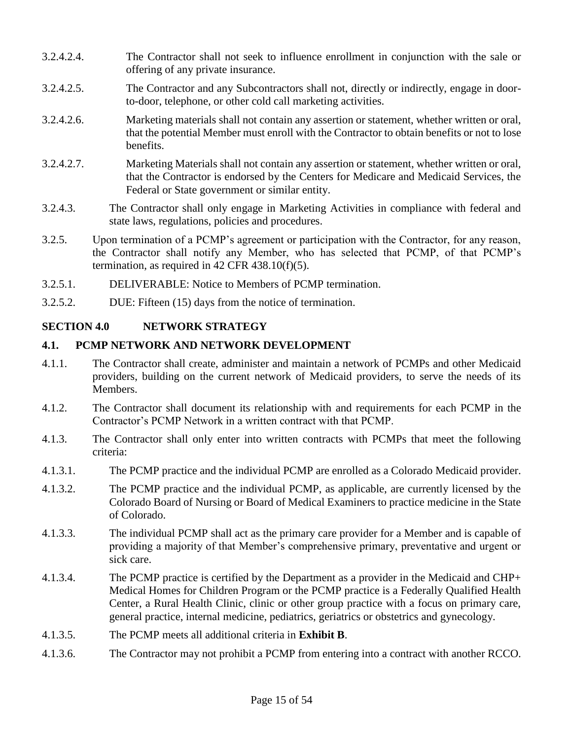- 3.2.4.2.4. The Contractor shall not seek to influence enrollment in conjunction with the sale or offering of any private insurance.
- 3.2.4.2.5. The Contractor and any Subcontractors shall not, directly or indirectly, engage in doorto-door, telephone, or other cold call marketing activities.
- 3.2.4.2.6. Marketing materials shall not contain any assertion or statement, whether written or oral, that the potential Member must enroll with the Contractor to obtain benefits or not to lose benefits.
- 3.2.4.2.7. Marketing Materials shall not contain any assertion or statement, whether written or oral, that the Contractor is endorsed by the Centers for Medicare and Medicaid Services, the Federal or State government or similar entity.
- 3.2.4.3. The Contractor shall only engage in Marketing Activities in compliance with federal and state laws, regulations, policies and procedures.
- 3.2.5. Upon termination of a PCMP's agreement or participation with the Contractor, for any reason, the Contractor shall notify any Member, who has selected that PCMP, of that PCMP's termination, as required in  $42$  CFR  $438.10(f)(5)$ .
- 3.2.5.1. DELIVERABLE: Notice to Members of PCMP termination.
- 3.2.5.2. DUE: Fifteen (15) days from the notice of termination.

#### **SECTION 4.0 NETWORK STRATEGY**

### **4.1. PCMP NETWORK AND NETWORK DEVELOPMENT**

- 4.1.1. The Contractor shall create, administer and maintain a network of PCMPs and other Medicaid providers, building on the current network of Medicaid providers, to serve the needs of its Members.
- 4.1.2. The Contractor shall document its relationship with and requirements for each PCMP in the Contractor's PCMP Network in a written contract with that PCMP.
- 4.1.3. The Contractor shall only enter into written contracts with PCMPs that meet the following criteria:
- 4.1.3.1. The PCMP practice and the individual PCMP are enrolled as a Colorado Medicaid provider.
- 4.1.3.2. The PCMP practice and the individual PCMP, as applicable, are currently licensed by the Colorado Board of Nursing or Board of Medical Examiners to practice medicine in the State of Colorado.
- 4.1.3.3. The individual PCMP shall act as the primary care provider for a Member and is capable of providing a majority of that Member's comprehensive primary, preventative and urgent or sick care.
- 4.1.3.4. The PCMP practice is certified by the Department as a provider in the Medicaid and CHP+ Medical Homes for Children Program or the PCMP practice is a Federally Qualified Health Center, a Rural Health Clinic, clinic or other group practice with a focus on primary care, general practice, internal medicine, pediatrics, geriatrics or obstetrics and gynecology.
- 4.1.3.5. The PCMP meets all additional criteria in **Exhibit B**.
- 4.1.3.6. The Contractor may not prohibit a PCMP from entering into a contract with another RCCO.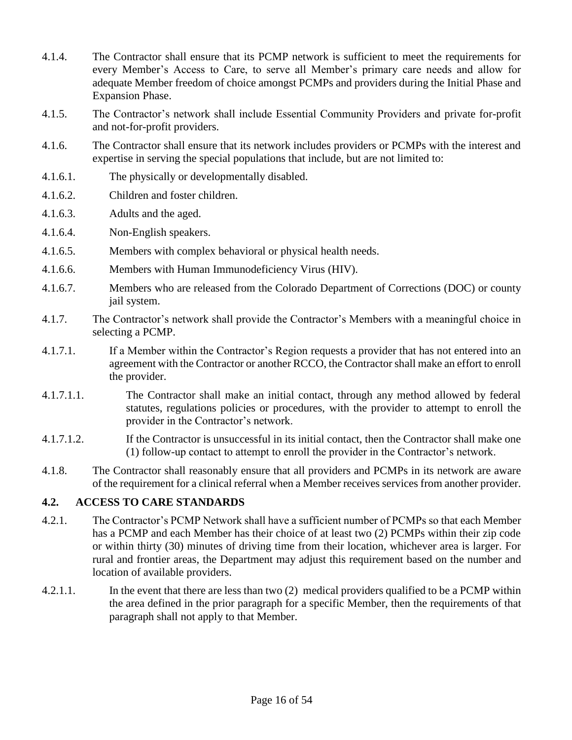- 4.1.4. The Contractor shall ensure that its PCMP network is sufficient to meet the requirements for every Member's Access to Care, to serve all Member's primary care needs and allow for adequate Member freedom of choice amongst PCMPs and providers during the Initial Phase and Expansion Phase.
- 4.1.5. The Contractor's network shall include Essential Community Providers and private for-profit and not-for-profit providers.
- 4.1.6. The Contractor shall ensure that its network includes providers or PCMPs with the interest and expertise in serving the special populations that include, but are not limited to:
- 4.1.6.1. The physically or developmentally disabled.
- 4.1.6.2. Children and foster children.
- 4.1.6.3. Adults and the aged.
- 4.1.6.4. Non-English speakers.
- 4.1.6.5. Members with complex behavioral or physical health needs.
- 4.1.6.6. Members with Human Immunodeficiency Virus (HIV).
- 4.1.6.7. Members who are released from the Colorado Department of Corrections (DOC) or county jail system.
- 4.1.7. The Contractor's network shall provide the Contractor's Members with a meaningful choice in selecting a PCMP.
- 4.1.7.1. If a Member within the Contractor's Region requests a provider that has not entered into an agreement with the Contractor or another RCCO, the Contractor shall make an effort to enroll the provider.
- 4.1.7.1.1. The Contractor shall make an initial contact, through any method allowed by federal statutes, regulations policies or procedures, with the provider to attempt to enroll the provider in the Contractor's network.
- 4.1.7.1.2. If the Contractor is unsuccessful in its initial contact, then the Contractor shall make one (1) follow-up contact to attempt to enroll the provider in the Contractor's network.
- 4.1.8. The Contractor shall reasonably ensure that all providers and PCMPs in its network are aware of the requirement for a clinical referral when a Member receives services from another provider.

### **4.2. ACCESS TO CARE STANDARDS**

- 4.2.1. The Contractor's PCMP Network shall have a sufficient number of PCMPs so that each Member has a PCMP and each Member has their choice of at least two (2) PCMPs within their zip code or within thirty (30) minutes of driving time from their location, whichever area is larger. For rural and frontier areas, the Department may adjust this requirement based on the number and location of available providers.
- 4.2.1.1. In the event that there are less than two (2) medical providers qualified to be a PCMP within the area defined in the prior paragraph for a specific Member, then the requirements of that paragraph shall not apply to that Member.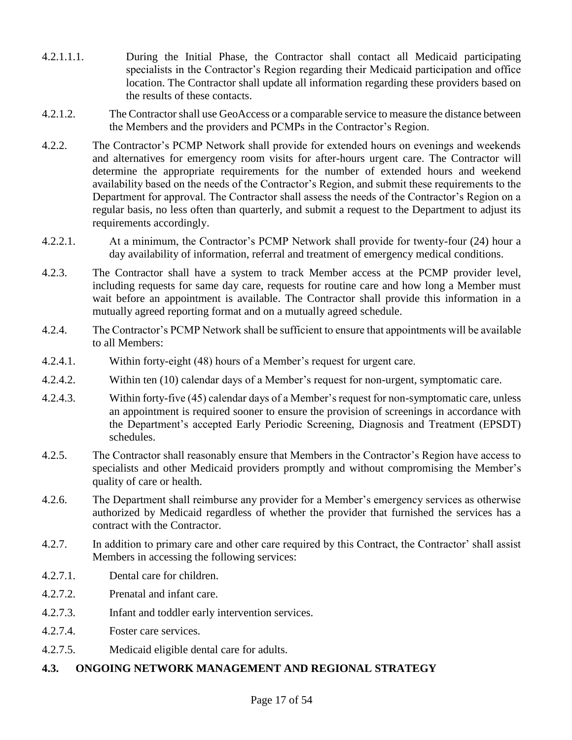- 4.2.1.1.1. During the Initial Phase, the Contractor shall contact all Medicaid participating specialists in the Contractor's Region regarding their Medicaid participation and office location. The Contractor shall update all information regarding these providers based on the results of these contacts.
- 4.2.1.2. The Contractor shall use GeoAccess or a comparable service to measure the distance between the Members and the providers and PCMPs in the Contractor's Region.
- 4.2.2. The Contractor's PCMP Network shall provide for extended hours on evenings and weekends and alternatives for emergency room visits for after-hours urgent care. The Contractor will determine the appropriate requirements for the number of extended hours and weekend availability based on the needs of the Contractor's Region, and submit these requirements to the Department for approval. The Contractor shall assess the needs of the Contractor's Region on a regular basis, no less often than quarterly, and submit a request to the Department to adjust its requirements accordingly.
- 4.2.2.1. At a minimum, the Contractor's PCMP Network shall provide for twenty-four (24) hour a day availability of information, referral and treatment of emergency medical conditions.
- 4.2.3. The Contractor shall have a system to track Member access at the PCMP provider level, including requests for same day care, requests for routine care and how long a Member must wait before an appointment is available. The Contractor shall provide this information in a mutually agreed reporting format and on a mutually agreed schedule.
- 4.2.4. The Contractor's PCMP Network shall be sufficient to ensure that appointments will be available to all Members:
- 4.2.4.1. Within forty-eight (48) hours of a Member's request for urgent care.
- 4.2.4.2. Within ten (10) calendar days of a Member's request for non-urgent, symptomatic care.
- 4.2.4.3. Within forty-five (45) calendar days of a Member's request for non-symptomatic care, unless an appointment is required sooner to ensure the provision of screenings in accordance with the Department's accepted Early Periodic Screening, Diagnosis and Treatment (EPSDT) schedules.
- 4.2.5. The Contractor shall reasonably ensure that Members in the Contractor's Region have access to specialists and other Medicaid providers promptly and without compromising the Member's quality of care or health.
- 4.2.6. The Department shall reimburse any provider for a Member's emergency services as otherwise authorized by Medicaid regardless of whether the provider that furnished the services has a contract with the Contractor.
- 4.2.7. In addition to primary care and other care required by this Contract, the Contractor' shall assist Members in accessing the following services:
- 4.2.7.1. Dental care for children.
- 4.2.7.2. Prenatal and infant care.
- 4.2.7.3. Infant and toddler early intervention services.
- 4.2.7.4. Foster care services.
- 4.2.7.5. Medicaid eligible dental care for adults.

# **4.3. ONGOING NETWORK MANAGEMENT AND REGIONAL STRATEGY**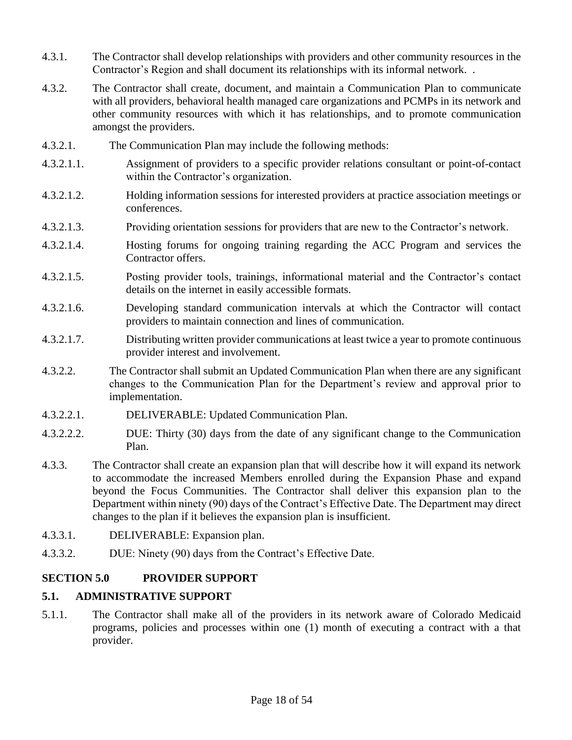- 4.3.1. The Contractor shall develop relationships with providers and other community resources in the Contractor's Region and shall document its relationships with its informal network. .
- 4.3.2. The Contractor shall create, document, and maintain a Communication Plan to communicate with all providers, behavioral health managed care organizations and PCMPs in its network and other community resources with which it has relationships, and to promote communication amongst the providers.
- 4.3.2.1. The Communication Plan may include the following methods:
- 4.3.2.1.1. Assignment of providers to a specific provider relations consultant or point-of-contact within the Contractor's organization.
- 4.3.2.1.2. Holding information sessions for interested providers at practice association meetings or conferences.
- 4.3.2.1.3. Providing orientation sessions for providers that are new to the Contractor's network.
- 4.3.2.1.4. Hosting forums for ongoing training regarding the ACC Program and services the Contractor offers.
- 4.3.2.1.5. Posting provider tools, trainings, informational material and the Contractor's contact details on the internet in easily accessible formats.
- 4.3.2.1.6. Developing standard communication intervals at which the Contractor will contact providers to maintain connection and lines of communication.
- 4.3.2.1.7. Distributing written provider communications at least twice a year to promote continuous provider interest and involvement.
- 4.3.2.2. The Contractor shall submit an Updated Communication Plan when there are any significant changes to the Communication Plan for the Department's review and approval prior to implementation.
- 4.3.2.2.1. DELIVERABLE: Updated Communication Plan.
- 4.3.2.2.2. DUE: Thirty (30) days from the date of any significant change to the Communication Plan.
- 4.3.3. The Contractor shall create an expansion plan that will describe how it will expand its network to accommodate the increased Members enrolled during the Expansion Phase and expand beyond the Focus Communities. The Contractor shall deliver this expansion plan to the Department within ninety (90) days of the Contract's Effective Date. The Department may direct changes to the plan if it believes the expansion plan is insufficient.
- 4.3.3.1. DELIVERABLE: Expansion plan.
- 4.3.3.2. DUE: Ninety (90) days from the Contract's Effective Date.

### **SECTION 5.0 PROVIDER SUPPORT**

### **5.1. ADMINISTRATIVE SUPPORT**

5.1.1. The Contractor shall make all of the providers in its network aware of Colorado Medicaid programs, policies and processes within one (1) month of executing a contract with a that provider.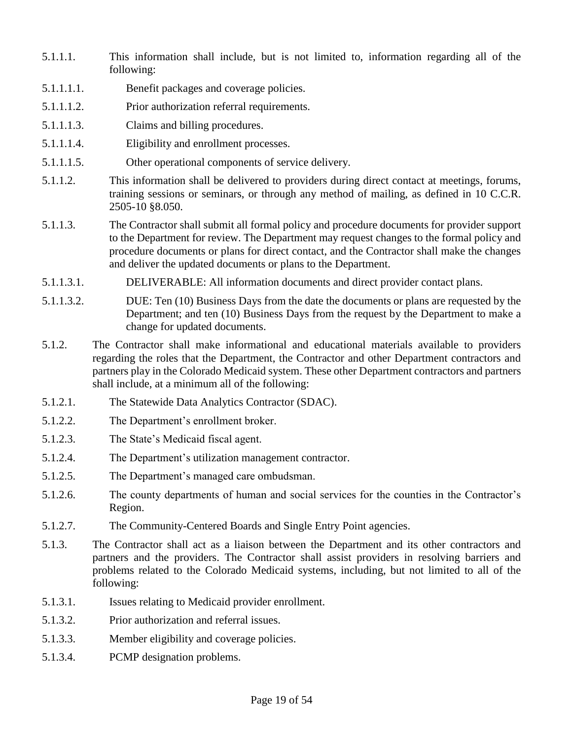- 5.1.1.1. This information shall include, but is not limited to, information regarding all of the following:
- 5.1.1.1.1. Benefit packages and coverage policies.
- 5.1.1.1.2. Prior authorization referral requirements.
- 5.1.1.1.3. Claims and billing procedures.
- 5.1.1.1.4. Eligibility and enrollment processes.
- 5.1.1.1.5. Other operational components of service delivery.
- 5.1.1.2. This information shall be delivered to providers during direct contact at meetings, forums, training sessions or seminars, or through any method of mailing, as defined in 10 C.C.R. 2505-10 §8.050.
- 5.1.1.3. The Contractor shall submit all formal policy and procedure documents for provider support to the Department for review. The Department may request changes to the formal policy and procedure documents or plans for direct contact, and the Contractor shall make the changes and deliver the updated documents or plans to the Department.
- 5.1.1.3.1. DELIVERABLE: All information documents and direct provider contact plans.
- 5.1.1.3.2. DUE: Ten (10) Business Days from the date the documents or plans are requested by the Department; and ten (10) Business Days from the request by the Department to make a change for updated documents.
- 5.1.2. The Contractor shall make informational and educational materials available to providers regarding the roles that the Department, the Contractor and other Department contractors and partners play in the Colorado Medicaid system. These other Department contractors and partners shall include, at a minimum all of the following:
- 5.1.2.1. The Statewide Data Analytics Contractor (SDAC).
- 5.1.2.2. The Department's enrollment broker.
- 5.1.2.3. The State's Medicaid fiscal agent.
- 5.1.2.4. The Department's utilization management contractor.
- 5.1.2.5. The Department's managed care ombudsman.
- 5.1.2.6. The county departments of human and social services for the counties in the Contractor's Region.
- 5.1.2.7. The Community-Centered Boards and Single Entry Point agencies.
- 5.1.3. The Contractor shall act as a liaison between the Department and its other contractors and partners and the providers. The Contractor shall assist providers in resolving barriers and problems related to the Colorado Medicaid systems, including, but not limited to all of the following:
- 5.1.3.1. Issues relating to Medicaid provider enrollment.
- 5.1.3.2. Prior authorization and referral issues.
- 5.1.3.3. Member eligibility and coverage policies.
- 5.1.3.4. PCMP designation problems.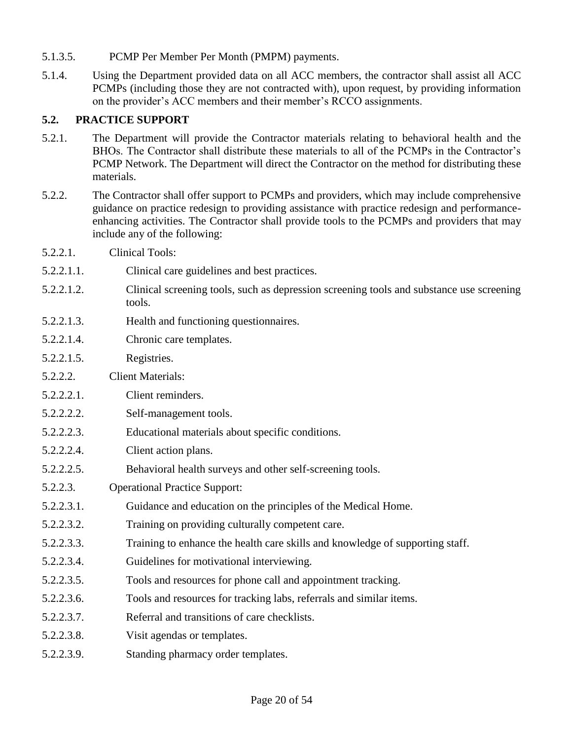- 5.1.3.5. PCMP Per Member Per Month (PMPM) payments.
- 5.1.4. Using the Department provided data on all ACC members, the contractor shall assist all ACC PCMPs (including those they are not contracted with), upon request, by providing information on the provider's ACC members and their member's RCCO assignments.

#### **5.2. PRACTICE SUPPORT**

- 5.2.1. The Department will provide the Contractor materials relating to behavioral health and the BHOs. The Contractor shall distribute these materials to all of the PCMPs in the Contractor's PCMP Network. The Department will direct the Contractor on the method for distributing these materials.
- 5.2.2. The Contractor shall offer support to PCMPs and providers, which may include comprehensive guidance on practice redesign to providing assistance with practice redesign and performanceenhancing activities. The Contractor shall provide tools to the PCMPs and providers that may include any of the following:
- 5.2.2.1. Clinical Tools:
- 5.2.2.1.1. Clinical care guidelines and best practices.
- 5.2.2.1.2. Clinical screening tools, such as depression screening tools and substance use screening tools.
- 5.2.2.1.3. Health and functioning questionnaires.
- 5.2.2.1.4. Chronic care templates.
- 5.2.2.1.5. Registries.
- 5.2.2.2. Client Materials:
- 5.2.2.2.1. Client reminders.
- 5.2.2.2.2. Self-management tools.
- 5.2.2.2.3. Educational materials about specific conditions.
- 5.2.2.2.4. Client action plans.
- 5.2.2.2.5. Behavioral health surveys and other self-screening tools.
- 5.2.2.3. Operational Practice Support:
- 5.2.2.3.1. Guidance and education on the principles of the Medical Home.
- 5.2.2.3.2. Training on providing culturally competent care.
- 5.2.2.3.3. Training to enhance the health care skills and knowledge of supporting staff.
- 5.2.2.3.4. Guidelines for motivational interviewing.
- 5.2.2.3.5. Tools and resources for phone call and appointment tracking.
- 5.2.2.3.6. Tools and resources for tracking labs, referrals and similar items.
- 5.2.2.3.7. Referral and transitions of care checklists.
- 5.2.2.3.8. Visit agendas or templates.
- 5.2.2.3.9. Standing pharmacy order templates.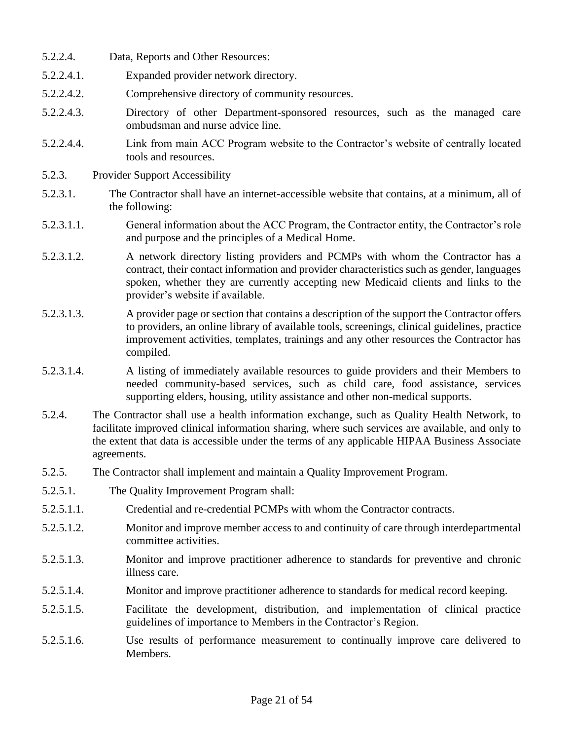- 5.2.2.4. Data, Reports and Other Resources:
- 5.2.2.4.1. Expanded provider network directory.
- 5.2.2.4.2. Comprehensive directory of community resources.
- 5.2.2.4.3. Directory of other Department-sponsored resources, such as the managed care ombudsman and nurse advice line.
- 5.2.2.4.4. Link from main ACC Program website to the Contractor's website of centrally located tools and resources.
- 5.2.3. Provider Support Accessibility
- 5.2.3.1. The Contractor shall have an internet-accessible website that contains, at a minimum, all of the following:
- 5.2.3.1.1. General information about the ACC Program, the Contractor entity, the Contractor's role and purpose and the principles of a Medical Home.
- 5.2.3.1.2. A network directory listing providers and PCMPs with whom the Contractor has a contract, their contact information and provider characteristics such as gender, languages spoken, whether they are currently accepting new Medicaid clients and links to the provider's website if available.
- 5.2.3.1.3. A provider page or section that contains a description of the support the Contractor offers to providers, an online library of available tools, screenings, clinical guidelines, practice improvement activities, templates, trainings and any other resources the Contractor has compiled.
- 5.2.3.1.4. A listing of immediately available resources to guide providers and their Members to needed community-based services, such as child care, food assistance, services supporting elders, housing, utility assistance and other non-medical supports.
- 5.2.4. The Contractor shall use a health information exchange, such as Quality Health Network, to facilitate improved clinical information sharing, where such services are available, and only to the extent that data is accessible under the terms of any applicable HIPAA Business Associate agreements.
- 5.2.5. The Contractor shall implement and maintain a Quality Improvement Program.
- 5.2.5.1. The Quality Improvement Program shall:
- 5.2.5.1.1. Credential and re-credential PCMPs with whom the Contractor contracts.
- 5.2.5.1.2. Monitor and improve member access to and continuity of care through interdepartmental committee activities.
- 5.2.5.1.3. Monitor and improve practitioner adherence to standards for preventive and chronic illness care.
- 5.2.5.1.4. Monitor and improve practitioner adherence to standards for medical record keeping.
- 5.2.5.1.5. Facilitate the development, distribution, and implementation of clinical practice guidelines of importance to Members in the Contractor's Region.
- 5.2.5.1.6. Use results of performance measurement to continually improve care delivered to Members.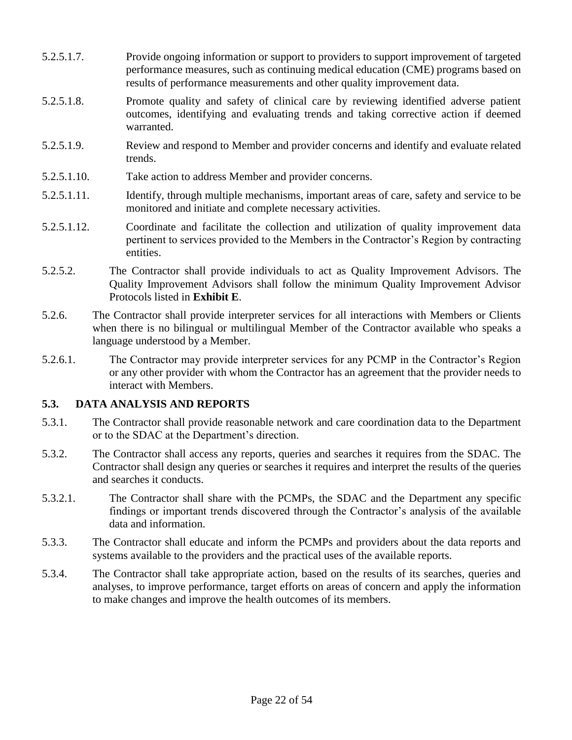- 5.2.5.1.7. Provide ongoing information or support to providers to support improvement of targeted performance measures, such as continuing medical education (CME) programs based on results of performance measurements and other quality improvement data.
- 5.2.5.1.8. Promote quality and safety of clinical care by reviewing identified adverse patient outcomes, identifying and evaluating trends and taking corrective action if deemed warranted.
- 5.2.5.1.9. Review and respond to Member and provider concerns and identify and evaluate related trends.
- 5.2.5.1.10. Take action to address Member and provider concerns.
- 5.2.5.1.11. Identify, through multiple mechanisms, important areas of care, safety and service to be monitored and initiate and complete necessary activities.
- 5.2.5.1.12. Coordinate and facilitate the collection and utilization of quality improvement data pertinent to services provided to the Members in the Contractor's Region by contracting entities.
- 5.2.5.2. The Contractor shall provide individuals to act as Quality Improvement Advisors. The Quality Improvement Advisors shall follow the minimum Quality Improvement Advisor Protocols listed in **Exhibit E**.
- 5.2.6. The Contractor shall provide interpreter services for all interactions with Members or Clients when there is no bilingual or multilingual Member of the Contractor available who speaks a language understood by a Member.
- 5.2.6.1. The Contractor may provide interpreter services for any PCMP in the Contractor's Region or any other provider with whom the Contractor has an agreement that the provider needs to interact with Members.

### **5.3. DATA ANALYSIS AND REPORTS**

- 5.3.1. The Contractor shall provide reasonable network and care coordination data to the Department or to the SDAC at the Department's direction.
- 5.3.2. The Contractor shall access any reports, queries and searches it requires from the SDAC. The Contractor shall design any queries or searches it requires and interpret the results of the queries and searches it conducts.
- 5.3.2.1. The Contractor shall share with the PCMPs, the SDAC and the Department any specific findings or important trends discovered through the Contractor's analysis of the available data and information.
- 5.3.3. The Contractor shall educate and inform the PCMPs and providers about the data reports and systems available to the providers and the practical uses of the available reports.
- 5.3.4. The Contractor shall take appropriate action, based on the results of its searches, queries and analyses, to improve performance, target efforts on areas of concern and apply the information to make changes and improve the health outcomes of its members.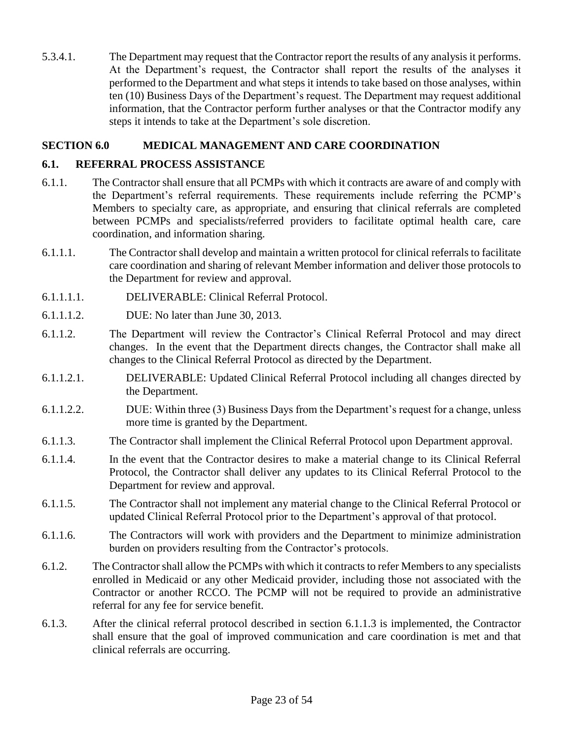5.3.4.1. The Department may request that the Contractor report the results of any analysis it performs. At the Department's request, the Contractor shall report the results of the analyses it performed to the Department and what steps it intends to take based on those analyses, within ten (10) Business Days of the Department's request. The Department may request additional information, that the Contractor perform further analyses or that the Contractor modify any steps it intends to take at the Department's sole discretion.

### **SECTION 6.0 MEDICAL MANAGEMENT AND CARE COORDINATION**

## **6.1. REFERRAL PROCESS ASSISTANCE**

- 6.1.1. The Contractor shall ensure that all PCMPs with which it contracts are aware of and comply with the Department's referral requirements. These requirements include referring the PCMP's Members to specialty care, as appropriate, and ensuring that clinical referrals are completed between PCMPs and specialists/referred providers to facilitate optimal health care, care coordination, and information sharing.
- 6.1.1.1. The Contractor shall develop and maintain a written protocol for clinical referrals to facilitate care coordination and sharing of relevant Member information and deliver those protocols to the Department for review and approval.
- 6.1.1.1.1. DELIVERABLE: Clinical Referral Protocol.
- 6.1.1.1.2. DUE: No later than June 30, 2013.
- 6.1.1.2. The Department will review the Contractor's Clinical Referral Protocol and may direct changes. In the event that the Department directs changes, the Contractor shall make all changes to the Clinical Referral Protocol as directed by the Department.
- 6.1.1.2.1. DELIVERABLE: Updated Clinical Referral Protocol including all changes directed by the Department.
- 6.1.1.2.2. DUE: Within three (3) Business Days from the Department's request for a change, unless more time is granted by the Department.
- 6.1.1.3. The Contractor shall implement the Clinical Referral Protocol upon Department approval.
- 6.1.1.4. In the event that the Contractor desires to make a material change to its Clinical Referral Protocol, the Contractor shall deliver any updates to its Clinical Referral Protocol to the Department for review and approval.
- 6.1.1.5. The Contractor shall not implement any material change to the Clinical Referral Protocol or updated Clinical Referral Protocol prior to the Department's approval of that protocol.
- 6.1.1.6. The Contractors will work with providers and the Department to minimize administration burden on providers resulting from the Contractor's protocols.
- 6.1.2. The Contractor shall allow the PCMPs with which it contracts to refer Members to any specialists enrolled in Medicaid or any other Medicaid provider, including those not associated with the Contractor or another RCCO. The PCMP will not be required to provide an administrative referral for any fee for service benefit.
- 6.1.3. After the clinical referral protocol described in section 6.1.1.3 is implemented, the Contractor shall ensure that the goal of improved communication and care coordination is met and that clinical referrals are occurring.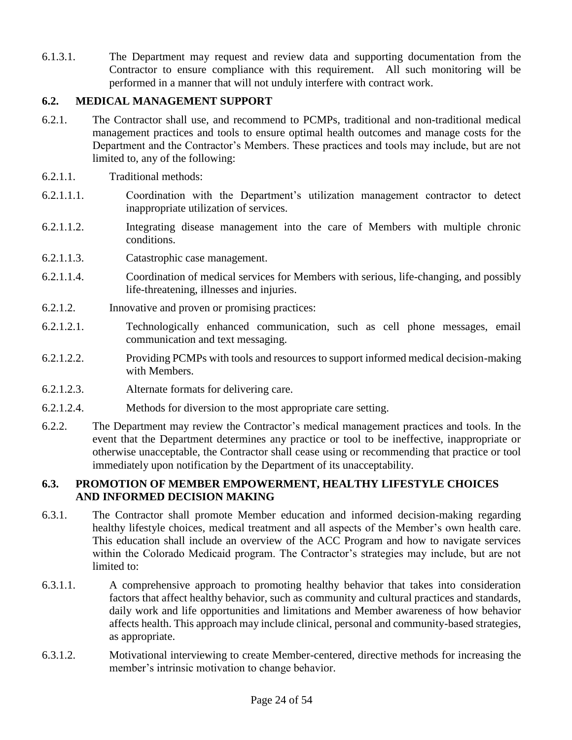6.1.3.1. The Department may request and review data and supporting documentation from the Contractor to ensure compliance with this requirement. All such monitoring will be performed in a manner that will not unduly interfere with contract work.

## **6.2. MEDICAL MANAGEMENT SUPPORT**

- 6.2.1. The Contractor shall use, and recommend to PCMPs, traditional and non-traditional medical management practices and tools to ensure optimal health outcomes and manage costs for the Department and the Contractor's Members. These practices and tools may include, but are not limited to, any of the following:
- 6.2.1.1. Traditional methods:
- 6.2.1.1.1. Coordination with the Department's utilization management contractor to detect inappropriate utilization of services.
- 6.2.1.1.2. Integrating disease management into the care of Members with multiple chronic conditions.
- 6.2.1.1.3. Catastrophic case management.
- 6.2.1.1.4. Coordination of medical services for Members with serious, life-changing, and possibly life-threatening, illnesses and injuries.
- 6.2.1.2. Innovative and proven or promising practices:
- 6.2.1.2.1. Technologically enhanced communication, such as cell phone messages, email communication and text messaging.
- 6.2.1.2.2. Providing PCMPs with tools and resources to support informed medical decision-making with Members.
- 6.2.1.2.3. Alternate formats for delivering care.
- 6.2.1.2.4. Methods for diversion to the most appropriate care setting.
- 6.2.2. The Department may review the Contractor's medical management practices and tools. In the event that the Department determines any practice or tool to be ineffective, inappropriate or otherwise unacceptable, the Contractor shall cease using or recommending that practice or tool immediately upon notification by the Department of its unacceptability.

## **6.3. PROMOTION OF MEMBER EMPOWERMENT, HEALTHY LIFESTYLE CHOICES AND INFORMED DECISION MAKING**

- 6.3.1. The Contractor shall promote Member education and informed decision-making regarding healthy lifestyle choices, medical treatment and all aspects of the Member's own health care. This education shall include an overview of the ACC Program and how to navigate services within the Colorado Medicaid program. The Contractor's strategies may include, but are not limited to:
- 6.3.1.1. A comprehensive approach to promoting healthy behavior that takes into consideration factors that affect healthy behavior, such as community and cultural practices and standards, daily work and life opportunities and limitations and Member awareness of how behavior affects health. This approach may include clinical, personal and community-based strategies, as appropriate.
- 6.3.1.2. Motivational interviewing to create Member-centered, directive methods for increasing the member's intrinsic motivation to change behavior.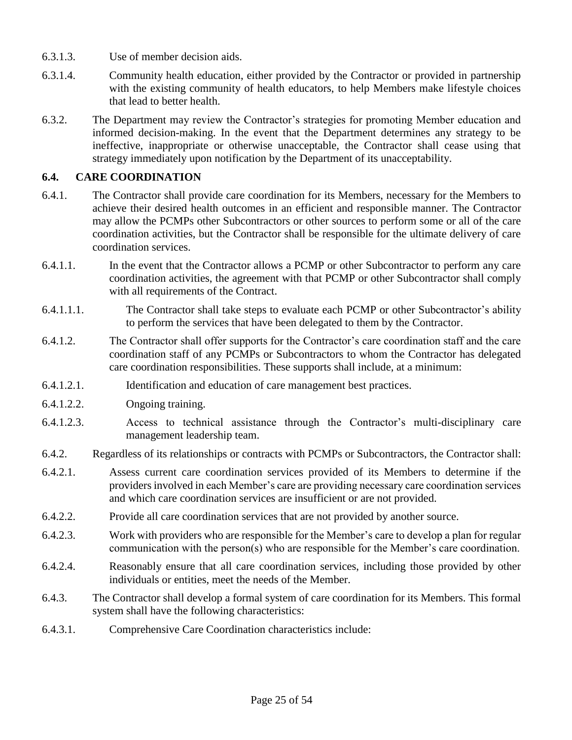- 6.3.1.3. Use of member decision aids.
- 6.3.1.4. Community health education, either provided by the Contractor or provided in partnership with the existing community of health educators, to help Members make lifestyle choices that lead to better health.
- 6.3.2. The Department may review the Contractor's strategies for promoting Member education and informed decision-making. In the event that the Department determines any strategy to be ineffective, inappropriate or otherwise unacceptable, the Contractor shall cease using that strategy immediately upon notification by the Department of its unacceptability.

## **6.4. CARE COORDINATION**

- 6.4.1. The Contractor shall provide care coordination for its Members, necessary for the Members to achieve their desired health outcomes in an efficient and responsible manner. The Contractor may allow the PCMPs other Subcontractors or other sources to perform some or all of the care coordination activities, but the Contractor shall be responsible for the ultimate delivery of care coordination services.
- 6.4.1.1. In the event that the Contractor allows a PCMP or other Subcontractor to perform any care coordination activities, the agreement with that PCMP or other Subcontractor shall comply with all requirements of the Contract.
- 6.4.1.1.1. The Contractor shall take steps to evaluate each PCMP or other Subcontractor's ability to perform the services that have been delegated to them by the Contractor.
- 6.4.1.2. The Contractor shall offer supports for the Contractor's care coordination staff and the care coordination staff of any PCMPs or Subcontractors to whom the Contractor has delegated care coordination responsibilities. These supports shall include, at a minimum:
- 6.4.1.2.1. Identification and education of care management best practices.
- 6.4.1.2.2. Ongoing training.
- 6.4.1.2.3. Access to technical assistance through the Contractor's multi-disciplinary care management leadership team.
- 6.4.2. Regardless of its relationships or contracts with PCMPs or Subcontractors, the Contractor shall:
- 6.4.2.1. Assess current care coordination services provided of its Members to determine if the providers involved in each Member's care are providing necessary care coordination services and which care coordination services are insufficient or are not provided.
- 6.4.2.2. Provide all care coordination services that are not provided by another source.
- 6.4.2.3. Work with providers who are responsible for the Member's care to develop a plan for regular communication with the person(s) who are responsible for the Member's care coordination.
- 6.4.2.4. Reasonably ensure that all care coordination services, including those provided by other individuals or entities, meet the needs of the Member.
- 6.4.3. The Contractor shall develop a formal system of care coordination for its Members. This formal system shall have the following characteristics:
- 6.4.3.1. Comprehensive Care Coordination characteristics include: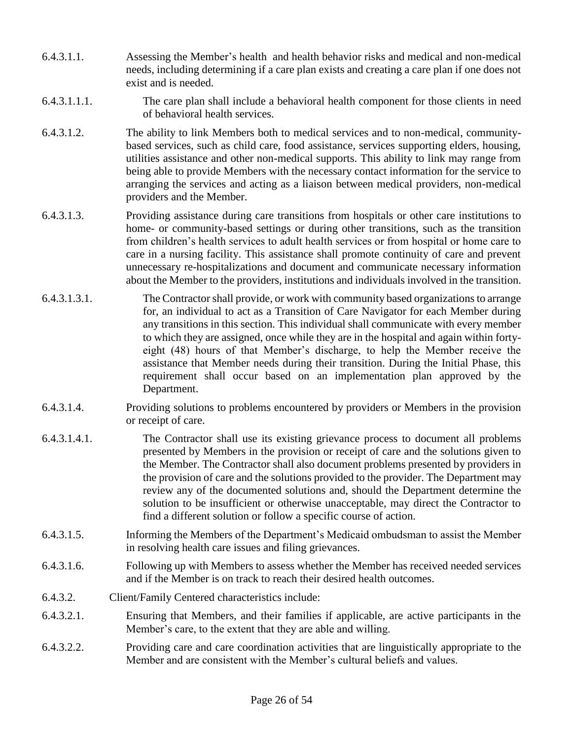- 6.4.3.1.1. Assessing the Member's health and health behavior risks and medical and non-medical needs, including determining if a care plan exists and creating a care plan if one does not exist and is needed.
- 6.4.3.1.1.1. The care plan shall include a behavioral health component for those clients in need of behavioral health services.
- 6.4.3.1.2. The ability to link Members both to medical services and to non-medical, communitybased services, such as child care, food assistance, services supporting elders, housing, utilities assistance and other non-medical supports. This ability to link may range from being able to provide Members with the necessary contact information for the service to arranging the services and acting as a liaison between medical providers, non-medical providers and the Member.
- 6.4.3.1.3. Providing assistance during care transitions from hospitals or other care institutions to home- or community-based settings or during other transitions, such as the transition from children's health services to adult health services or from hospital or home care to care in a nursing facility. This assistance shall promote continuity of care and prevent unnecessary re-hospitalizations and document and communicate necessary information about the Member to the providers, institutions and individuals involved in the transition.
- 6.4.3.1.3.1. The Contractor shall provide, or work with community based organizations to arrange for, an individual to act as a Transition of Care Navigator for each Member during any transitions in this section. This individual shall communicate with every member to which they are assigned, once while they are in the hospital and again within fortyeight (48) hours of that Member's discharge, to help the Member receive the assistance that Member needs during their transition. During the Initial Phase, this requirement shall occur based on an implementation plan approved by the Department.
- 6.4.3.1.4. Providing solutions to problems encountered by providers or Members in the provision or receipt of care.
- 6.4.3.1.4.1. The Contractor shall use its existing grievance process to document all problems presented by Members in the provision or receipt of care and the solutions given to the Member. The Contractor shall also document problems presented by providers in the provision of care and the solutions provided to the provider. The Department may review any of the documented solutions and, should the Department determine the solution to be insufficient or otherwise unacceptable, may direct the Contractor to find a different solution or follow a specific course of action.
- 6.4.3.1.5. Informing the Members of the Department's Medicaid ombudsman to assist the Member in resolving health care issues and filing grievances.
- 6.4.3.1.6. Following up with Members to assess whether the Member has received needed services and if the Member is on track to reach their desired health outcomes.
- 6.4.3.2. Client/Family Centered characteristics include:
- 6.4.3.2.1. Ensuring that Members, and their families if applicable, are active participants in the Member's care, to the extent that they are able and willing.
- 6.4.3.2.2. Providing care and care coordination activities that are linguistically appropriate to the Member and are consistent with the Member's cultural beliefs and values.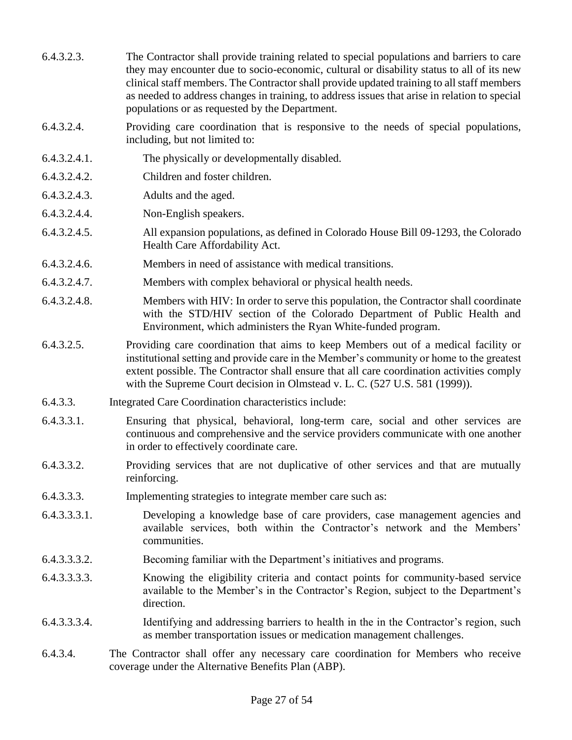- 6.4.3.2.3. The Contractor shall provide training related to special populations and barriers to care they may encounter due to socio-economic, cultural or disability status to all of its new clinical staff members. The Contractor shall provide updated training to all staff members as needed to address changes in training, to address issues that arise in relation to special populations or as requested by the Department.
- 6.4.3.2.4. Providing care coordination that is responsive to the needs of special populations, including, but not limited to:
- 6.4.3.2.4.1. The physically or developmentally disabled.
- 6.4.3.2.4.2. Children and foster children.
- 6.4.3.2.4.3. Adults and the aged.
- 6.4.3.2.4.4. Non-English speakers.
- 6.4.3.2.4.5. All expansion populations, as defined in Colorado House Bill 09-1293, the Colorado Health Care Affordability Act.
- 6.4.3.2.4.6. Members in need of assistance with medical transitions.
- 6.4.3.2.4.7. Members with complex behavioral or physical health needs.
- 6.4.3.2.4.8. Members with HIV: In order to serve this population, the Contractor shall coordinate with the STD/HIV section of the Colorado Department of Public Health and Environment, which administers the Ryan White-funded program.
- 6.4.3.2.5. Providing care coordination that aims to keep Members out of a medical facility or institutional setting and provide care in the Member's community or home to the greatest extent possible. The Contractor shall ensure that all care coordination activities comply with the Supreme Court decision in Olmstead v. L. C. (527 U.S. 581 (1999)).
- 6.4.3.3. Integrated Care Coordination characteristics include:
- 6.4.3.3.1. Ensuring that physical, behavioral, long-term care, social and other services are continuous and comprehensive and the service providers communicate with one another in order to effectively coordinate care.
- 6.4.3.3.2. Providing services that are not duplicative of other services and that are mutually reinforcing.
- 6.4.3.3.3. Implementing strategies to integrate member care such as:
- 6.4.3.3.3.1. Developing a knowledge base of care providers, case management agencies and available services, both within the Contractor's network and the Members' communities.
- 6.4.3.3.3.2. Becoming familiar with the Department's initiatives and programs.
- 6.4.3.3.3.3. Knowing the eligibility criteria and contact points for community-based service available to the Member's in the Contractor's Region, subject to the Department's direction.
- 6.4.3.3.3.4. Identifying and addressing barriers to health in the in the Contractor's region, such as member transportation issues or medication management challenges.
- 6.4.3.4. The Contractor shall offer any necessary care coordination for Members who receive coverage under the Alternative Benefits Plan (ABP).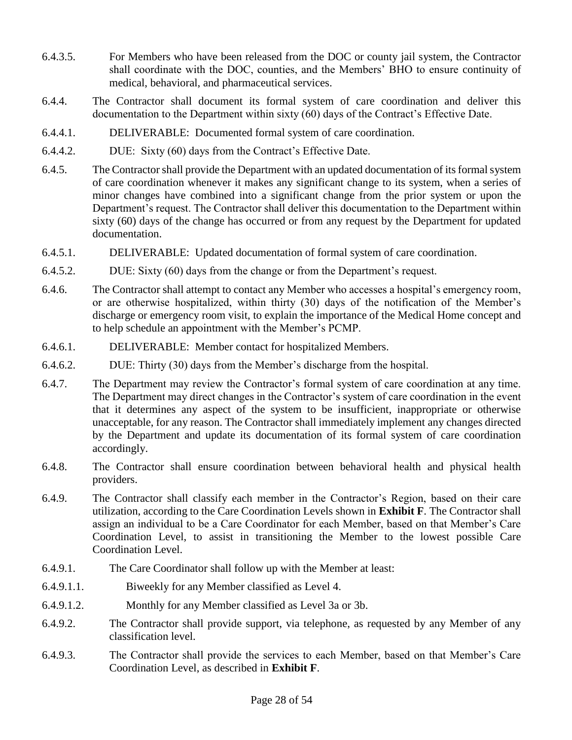- 6.4.3.5. For Members who have been released from the DOC or county jail system, the Contractor shall coordinate with the DOC, counties, and the Members' BHO to ensure continuity of medical, behavioral, and pharmaceutical services.
- 6.4.4. The Contractor shall document its formal system of care coordination and deliver this documentation to the Department within sixty (60) days of the Contract's Effective Date.
- 6.4.4.1. DELIVERABLE: Documented formal system of care coordination.
- 6.4.4.2. DUE: Sixty (60) days from the Contract's Effective Date.
- 6.4.5. The Contractor shall provide the Department with an updated documentation of its formal system of care coordination whenever it makes any significant change to its system, when a series of minor changes have combined into a significant change from the prior system or upon the Department's request. The Contractor shall deliver this documentation to the Department within sixty (60) days of the change has occurred or from any request by the Department for updated documentation.
- 6.4.5.1. DELIVERABLE: Updated documentation of formal system of care coordination.
- 6.4.5.2. DUE: Sixty (60) days from the change or from the Department's request.
- 6.4.6. The Contractor shall attempt to contact any Member who accesses a hospital's emergency room, or are otherwise hospitalized, within thirty (30) days of the notification of the Member's discharge or emergency room visit, to explain the importance of the Medical Home concept and to help schedule an appointment with the Member's PCMP.
- 6.4.6.1. DELIVERABLE: Member contact for hospitalized Members.
- 6.4.6.2. DUE: Thirty (30) days from the Member's discharge from the hospital.
- 6.4.7. The Department may review the Contractor's formal system of care coordination at any time. The Department may direct changes in the Contractor's system of care coordination in the event that it determines any aspect of the system to be insufficient, inappropriate or otherwise unacceptable, for any reason. The Contractor shall immediately implement any changes directed by the Department and update its documentation of its formal system of care coordination accordingly.
- 6.4.8. The Contractor shall ensure coordination between behavioral health and physical health providers.
- 6.4.9. The Contractor shall classify each member in the Contractor's Region, based on their care utilization, according to the Care Coordination Levels shown in **Exhibit F**. The Contractor shall assign an individual to be a Care Coordinator for each Member, based on that Member's Care Coordination Level, to assist in transitioning the Member to the lowest possible Care Coordination Level.
- 6.4.9.1. The Care Coordinator shall follow up with the Member at least:
- 6.4.9.1.1. Biweekly for any Member classified as Level 4.
- 6.4.9.1.2. Monthly for any Member classified as Level 3a or 3b.
- 6.4.9.2. The Contractor shall provide support, via telephone, as requested by any Member of any classification level.
- 6.4.9.3. The Contractor shall provide the services to each Member, based on that Member's Care Coordination Level, as described in **Exhibit F**.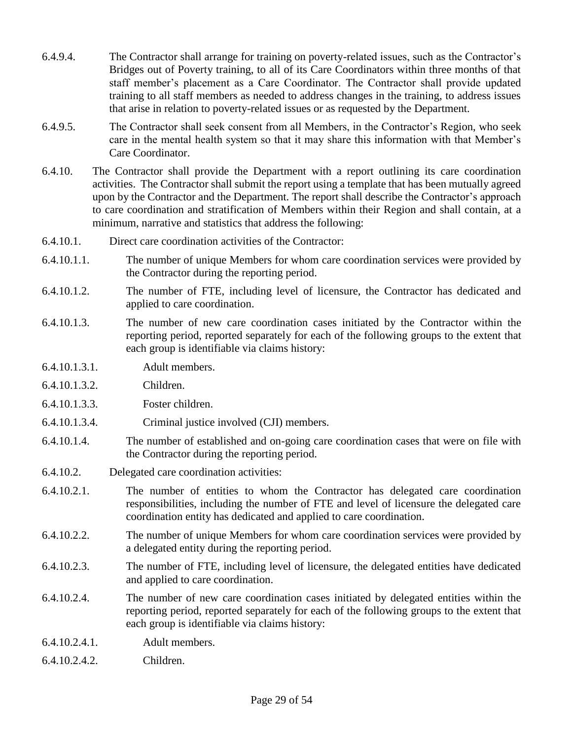- 6.4.9.4. The Contractor shall arrange for training on poverty-related issues, such as the Contractor's Bridges out of Poverty training, to all of its Care Coordinators within three months of that staff member's placement as a Care Coordinator. The Contractor shall provide updated training to all staff members as needed to address changes in the training, to address issues that arise in relation to poverty-related issues or as requested by the Department.
- 6.4.9.5. The Contractor shall seek consent from all Members, in the Contractor's Region, who seek care in the mental health system so that it may share this information with that Member's Care Coordinator.
- 6.4.10. The Contractor shall provide the Department with a report outlining its care coordination activities. The Contractor shall submit the report using a template that has been mutually agreed upon by the Contractor and the Department. The report shall describe the Contractor's approach to care coordination and stratification of Members within their Region and shall contain, at a minimum, narrative and statistics that address the following:
- 6.4.10.1. Direct care coordination activities of the Contractor:
- 6.4.10.1.1. The number of unique Members for whom care coordination services were provided by the Contractor during the reporting period.
- 6.4.10.1.2. The number of FTE, including level of licensure, the Contractor has dedicated and applied to care coordination.
- 6.4.10.1.3. The number of new care coordination cases initiated by the Contractor within the reporting period, reported separately for each of the following groups to the extent that each group is identifiable via claims history:
- 6.4.10.1.3.1. Adult members.
- 6.4.10.1.3.2. Children.
- 6.4.10.1.3.3. Foster children.
- 6.4.10.1.3.4. Criminal justice involved (CJI) members.
- 6.4.10.1.4. The number of established and on-going care coordination cases that were on file with the Contractor during the reporting period.
- 6.4.10.2. Delegated care coordination activities:
- 6.4.10.2.1. The number of entities to whom the Contractor has delegated care coordination responsibilities, including the number of FTE and level of licensure the delegated care coordination entity has dedicated and applied to care coordination.
- 6.4.10.2.2. The number of unique Members for whom care coordination services were provided by a delegated entity during the reporting period.
- 6.4.10.2.3. The number of FTE, including level of licensure, the delegated entities have dedicated and applied to care coordination.
- 6.4.10.2.4. The number of new care coordination cases initiated by delegated entities within the reporting period, reported separately for each of the following groups to the extent that each group is identifiable via claims history:
- 6.4.10.2.4.1. Adult members.
- 6.4.10.2.4.2. Children.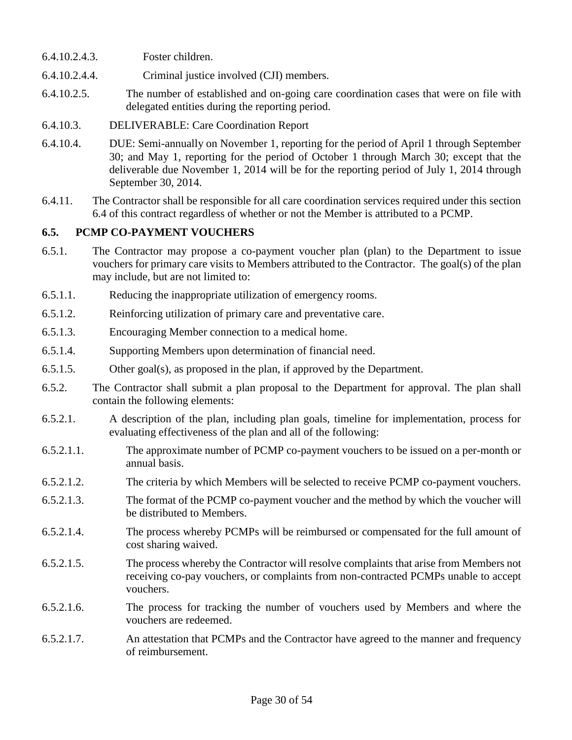- 6.4.10.2.4.3. Foster children.
- 6.4.10.2.4.4. Criminal justice involved (CJI) members.
- 6.4.10.2.5. The number of established and on-going care coordination cases that were on file with delegated entities during the reporting period.
- 6.4.10.3. DELIVERABLE: Care Coordination Report
- 6.4.10.4. DUE: Semi-annually on November 1, reporting for the period of April 1 through September 30; and May 1, reporting for the period of October 1 through March 30; except that the deliverable due November 1, 2014 will be for the reporting period of July 1, 2014 through September 30, 2014.
- 6.4.11. The Contractor shall be responsible for all care coordination services required under this section 6.4 of this contract regardless of whether or not the Member is attributed to a PCMP.

### **6.5. PCMP CO-PAYMENT VOUCHERS**

- 6.5.1. The Contractor may propose a co-payment voucher plan (plan) to the Department to issue vouchers for primary care visits to Members attributed to the Contractor. The goal(s) of the plan may include, but are not limited to:
- 6.5.1.1. Reducing the inappropriate utilization of emergency rooms.
- 6.5.1.2. Reinforcing utilization of primary care and preventative care.
- 6.5.1.3. Encouraging Member connection to a medical home.
- 6.5.1.4. Supporting Members upon determination of financial need.
- 6.5.1.5. Other goal(s), as proposed in the plan, if approved by the Department.
- 6.5.2. The Contractor shall submit a plan proposal to the Department for approval. The plan shall contain the following elements:
- 6.5.2.1. A description of the plan, including plan goals, timeline for implementation, process for evaluating effectiveness of the plan and all of the following:
- 6.5.2.1.1. The approximate number of PCMP co-payment vouchers to be issued on a per-month or annual basis.
- 6.5.2.1.2. The criteria by which Members will be selected to receive PCMP co-payment vouchers.
- 6.5.2.1.3. The format of the PCMP co-payment voucher and the method by which the voucher will be distributed to Members.
- 6.5.2.1.4. The process whereby PCMPs will be reimbursed or compensated for the full amount of cost sharing waived.
- 6.5.2.1.5. The process whereby the Contractor will resolve complaints that arise from Members not receiving co-pay vouchers, or complaints from non-contracted PCMPs unable to accept vouchers.
- 6.5.2.1.6. The process for tracking the number of vouchers used by Members and where the vouchers are redeemed.
- 6.5.2.1.7. An attestation that PCMPs and the Contractor have agreed to the manner and frequency of reimbursement.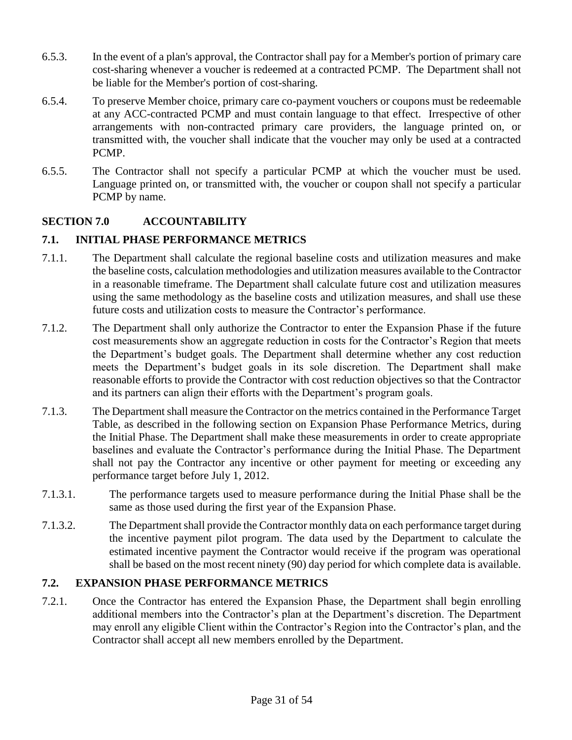- 6.5.3. In the event of a plan's approval, the Contractor shall pay for a Member's portion of primary care cost-sharing whenever a voucher is redeemed at a contracted PCMP. The Department shall not be liable for the Member's portion of cost-sharing.
- 6.5.4. To preserve Member choice, primary care co-payment vouchers or coupons must be redeemable at any ACC-contracted PCMP and must contain language to that effect. Irrespective of other arrangements with non-contracted primary care providers, the language printed on, or transmitted with, the voucher shall indicate that the voucher may only be used at a contracted PCMP.
- 6.5.5. The Contractor shall not specify a particular PCMP at which the voucher must be used. Language printed on, or transmitted with, the voucher or coupon shall not specify a particular PCMP by name.

# **SECTION 7.0 ACCOUNTABILITY**

## **7.1. INITIAL PHASE PERFORMANCE METRICS**

- 7.1.1. The Department shall calculate the regional baseline costs and utilization measures and make the baseline costs, calculation methodologies and utilization measures available to the Contractor in a reasonable timeframe. The Department shall calculate future cost and utilization measures using the same methodology as the baseline costs and utilization measures, and shall use these future costs and utilization costs to measure the Contractor's performance.
- 7.1.2. The Department shall only authorize the Contractor to enter the Expansion Phase if the future cost measurements show an aggregate reduction in costs for the Contractor's Region that meets the Department's budget goals. The Department shall determine whether any cost reduction meets the Department's budget goals in its sole discretion. The Department shall make reasonable efforts to provide the Contractor with cost reduction objectives so that the Contractor and its partners can align their efforts with the Department's program goals.
- 7.1.3. The Department shall measure the Contractor on the metrics contained in the Performance Target Table, as described in the following section on Expansion Phase Performance Metrics, during the Initial Phase. The Department shall make these measurements in order to create appropriate baselines and evaluate the Contractor's performance during the Initial Phase. The Department shall not pay the Contractor any incentive or other payment for meeting or exceeding any performance target before July 1, 2012.
- 7.1.3.1. The performance targets used to measure performance during the Initial Phase shall be the same as those used during the first year of the Expansion Phase.
- 7.1.3.2. The Department shall provide the Contractor monthly data on each performance target during the incentive payment pilot program. The data used by the Department to calculate the estimated incentive payment the Contractor would receive if the program was operational shall be based on the most recent ninety (90) day period for which complete data is available.

### **7.2. EXPANSION PHASE PERFORMANCE METRICS**

7.2.1. Once the Contractor has entered the Expansion Phase, the Department shall begin enrolling additional members into the Contractor's plan at the Department's discretion. The Department may enroll any eligible Client within the Contractor's Region into the Contractor's plan, and the Contractor shall accept all new members enrolled by the Department.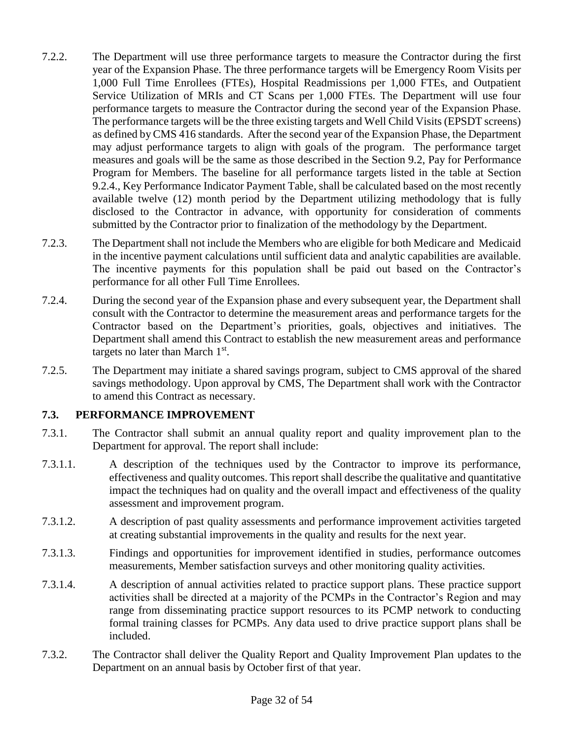- 7.2.2. The Department will use three performance targets to measure the Contractor during the first year of the Expansion Phase. The three performance targets will be Emergency Room Visits per 1,000 Full Time Enrollees (FTEs), Hospital Readmissions per 1,000 FTEs, and Outpatient Service Utilization of MRIs and CT Scans per 1,000 FTEs. The Department will use four performance targets to measure the Contractor during the second year of the Expansion Phase. The performance targets will be the three existing targets and Well Child Visits (EPSDT screens) as defined by CMS 416 standards. After the second year of the Expansion Phase, the Department may adjust performance targets to align with goals of the program. The performance target measures and goals will be the same as those described in the Section 9.2, Pay for Performance Program for Members. The baseline for all performance targets listed in the table at Section 9.2.4., Key Performance Indicator Payment Table, shall be calculated based on the most recently available twelve (12) month period by the Department utilizing methodology that is fully disclosed to the Contractor in advance, with opportunity for consideration of comments submitted by the Contractor prior to finalization of the methodology by the Department.
- 7.2.3. The Department shall not include the Members who are eligible for both Medicare and Medicaid in the incentive payment calculations until sufficient data and analytic capabilities are available. The incentive payments for this population shall be paid out based on the Contractor's performance for all other Full Time Enrollees.
- 7.2.4. During the second year of the Expansion phase and every subsequent year, the Department shall consult with the Contractor to determine the measurement areas and performance targets for the Contractor based on the Department's priorities, goals, objectives and initiatives. The Department shall amend this Contract to establish the new measurement areas and performance targets no later than March  $1<sup>st</sup>$ .
- 7.2.5. The Department may initiate a shared savings program, subject to CMS approval of the shared savings methodology. Upon approval by CMS, The Department shall work with the Contractor to amend this Contract as necessary.

### **7.3. PERFORMANCE IMPROVEMENT**

- 7.3.1. The Contractor shall submit an annual quality report and quality improvement plan to the Department for approval. The report shall include:
- 7.3.1.1. A description of the techniques used by the Contractor to improve its performance, effectiveness and quality outcomes. This report shall describe the qualitative and quantitative impact the techniques had on quality and the overall impact and effectiveness of the quality assessment and improvement program.
- 7.3.1.2. A description of past quality assessments and performance improvement activities targeted at creating substantial improvements in the quality and results for the next year.
- 7.3.1.3. Findings and opportunities for improvement identified in studies, performance outcomes measurements, Member satisfaction surveys and other monitoring quality activities.
- 7.3.1.4. A description of annual activities related to practice support plans. These practice support activities shall be directed at a majority of the PCMPs in the Contractor's Region and may range from disseminating practice support resources to its PCMP network to conducting formal training classes for PCMPs. Any data used to drive practice support plans shall be included.
- 7.3.2. The Contractor shall deliver the Quality Report and Quality Improvement Plan updates to the Department on an annual basis by October first of that year.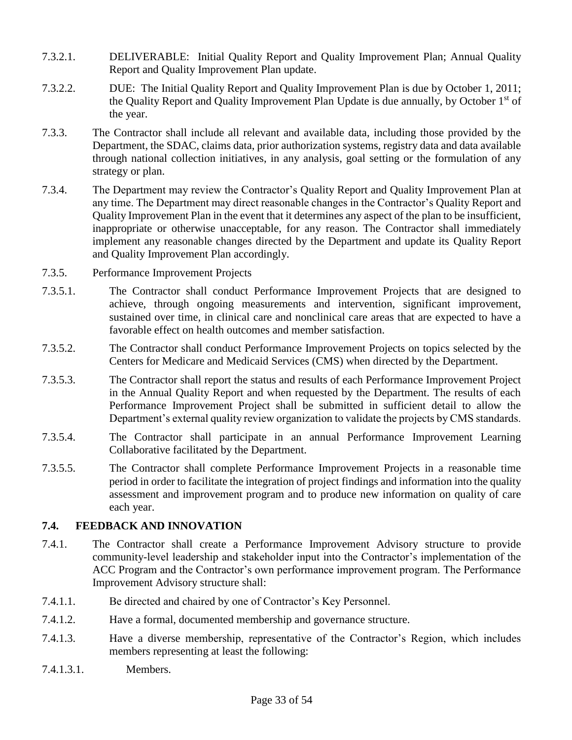- 7.3.2.1. DELIVERABLE: Initial Quality Report and Quality Improvement Plan; Annual Quality Report and Quality Improvement Plan update.
- 7.3.2.2. DUE: The Initial Quality Report and Quality Improvement Plan is due by October 1, 2011; the Quality Report and Quality Improvement Plan Update is due annually, by October 1<sup>st</sup> of the year.
- 7.3.3. The Contractor shall include all relevant and available data, including those provided by the Department, the SDAC, claims data, prior authorization systems, registry data and data available through national collection initiatives, in any analysis, goal setting or the formulation of any strategy or plan.
- 7.3.4. The Department may review the Contractor's Quality Report and Quality Improvement Plan at any time. The Department may direct reasonable changes in the Contractor's Quality Report and Quality Improvement Plan in the event that it determines any aspect of the plan to be insufficient, inappropriate or otherwise unacceptable, for any reason. The Contractor shall immediately implement any reasonable changes directed by the Department and update its Quality Report and Quality Improvement Plan accordingly.
- 7.3.5. Performance Improvement Projects
- 7.3.5.1. The Contractor shall conduct Performance Improvement Projects that are designed to achieve, through ongoing measurements and intervention, significant improvement, sustained over time, in clinical care and nonclinical care areas that are expected to have a favorable effect on health outcomes and member satisfaction.
- 7.3.5.2. The Contractor shall conduct Performance Improvement Projects on topics selected by the Centers for Medicare and Medicaid Services (CMS) when directed by the Department.
- 7.3.5.3. The Contractor shall report the status and results of each Performance Improvement Project in the Annual Quality Report and when requested by the Department. The results of each Performance Improvement Project shall be submitted in sufficient detail to allow the Department's external quality review organization to validate the projects by CMS standards.
- 7.3.5.4. The Contractor shall participate in an annual Performance Improvement Learning Collaborative facilitated by the Department.
- 7.3.5.5. The Contractor shall complete Performance Improvement Projects in a reasonable time period in order to facilitate the integration of project findings and information into the quality assessment and improvement program and to produce new information on quality of care each year.

### **7.4. FEEDBACK AND INNOVATION**

- 7.4.1. The Contractor shall create a Performance Improvement Advisory structure to provide community-level leadership and stakeholder input into the Contractor's implementation of the ACC Program and the Contractor's own performance improvement program. The Performance Improvement Advisory structure shall:
- 7.4.1.1. Be directed and chaired by one of Contractor's Key Personnel.
- 7.4.1.2. Have a formal, documented membership and governance structure.
- 7.4.1.3. Have a diverse membership, representative of the Contractor's Region, which includes members representing at least the following:
- 7.4.1.3.1. Members.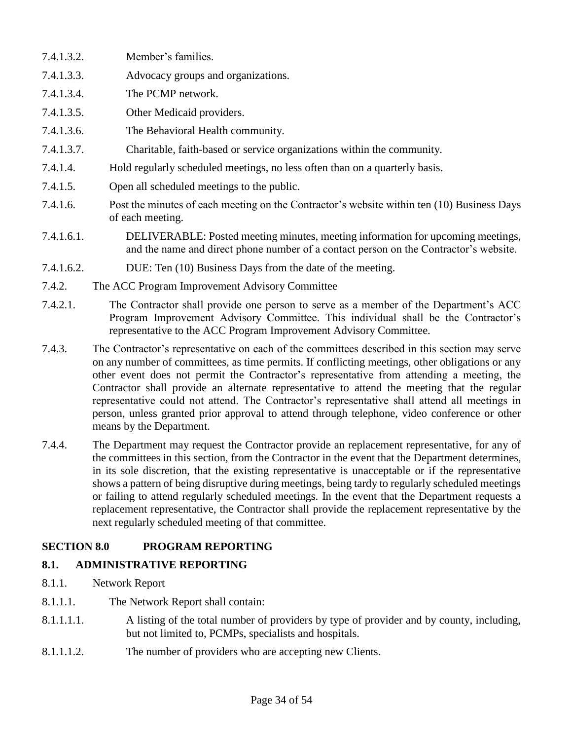- 7.4.1.3.2. Member's families.
- 7.4.1.3.3. Advocacy groups and organizations.
- 7.4.1.3.4. The PCMP network.
- 7.4.1.3.5. Other Medicaid providers.
- 7.4.1.3.6. The Behavioral Health community.
- 7.4.1.3.7. Charitable, faith-based or service organizations within the community.
- 7.4.1.4. Hold regularly scheduled meetings, no less often than on a quarterly basis.
- 7.4.1.5. Open all scheduled meetings to the public.
- 7.4.1.6. Post the minutes of each meeting on the Contractor's website within ten (10) Business Days of each meeting.
- 7.4.1.6.1. DELIVERABLE: Posted meeting minutes, meeting information for upcoming meetings, and the name and direct phone number of a contact person on the Contractor's website.
- 7.4.1.6.2. DUE: Ten (10) Business Days from the date of the meeting.
- 7.4.2. The ACC Program Improvement Advisory Committee
- 7.4.2.1. The Contractor shall provide one person to serve as a member of the Department's ACC Program Improvement Advisory Committee. This individual shall be the Contractor's representative to the ACC Program Improvement Advisory Committee.
- 7.4.3. The Contractor's representative on each of the committees described in this section may serve on any number of committees, as time permits. If conflicting meetings, other obligations or any other event does not permit the Contractor's representative from attending a meeting, the Contractor shall provide an alternate representative to attend the meeting that the regular representative could not attend. The Contractor's representative shall attend all meetings in person, unless granted prior approval to attend through telephone, video conference or other means by the Department.
- 7.4.4. The Department may request the Contractor provide an replacement representative, for any of the committees in this section, from the Contractor in the event that the Department determines, in its sole discretion, that the existing representative is unacceptable or if the representative shows a pattern of being disruptive during meetings, being tardy to regularly scheduled meetings or failing to attend regularly scheduled meetings. In the event that the Department requests a replacement representative, the Contractor shall provide the replacement representative by the next regularly scheduled meeting of that committee.

# **SECTION 8.0 PROGRAM REPORTING**

# **8.1. ADMINISTRATIVE REPORTING**

- 8.1.1. Network Report
- 8.1.1.1. The Network Report shall contain:
- 8.1.1.1.1. A listing of the total number of providers by type of provider and by county, including, but not limited to, PCMPs, specialists and hospitals.
- 8.1.1.1.2. The number of providers who are accepting new Clients.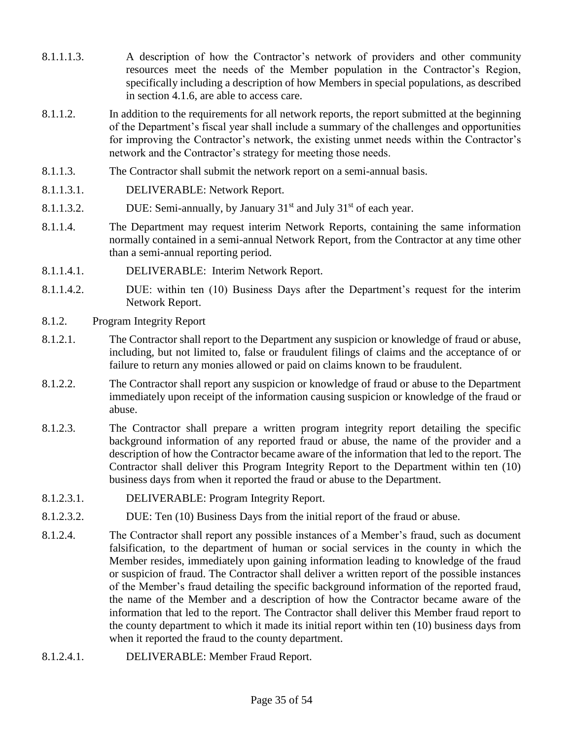- 8.1.1.1.3. A description of how the Contractor's network of providers and other community resources meet the needs of the Member population in the Contractor's Region, specifically including a description of how Members in special populations, as described in section 4.1.6, are able to access care.
- 8.1.1.2. In addition to the requirements for all network reports, the report submitted at the beginning of the Department's fiscal year shall include a summary of the challenges and opportunities for improving the Contractor's network, the existing unmet needs within the Contractor's network and the Contractor's strategy for meeting those needs.
- 8.1.1.3. The Contractor shall submit the network report on a semi-annual basis.
- 8.1.1.3.1. DELIVERABLE: Network Report.
- 8.1.1.3.2. DUE: Semi-annually, by January  $31<sup>st</sup>$  and July  $31<sup>st</sup>$  of each year.
- 8.1.1.4. The Department may request interim Network Reports, containing the same information normally contained in a semi-annual Network Report, from the Contractor at any time other than a semi-annual reporting period.
- 8.1.1.4.1. DELIVERABLE: Interim Network Report.
- 8.1.1.4.2. DUE: within ten (10) Business Days after the Department's request for the interim Network Report.
- 8.1.2. Program Integrity Report
- 8.1.2.1. The Contractor shall report to the Department any suspicion or knowledge of fraud or abuse, including, but not limited to, false or fraudulent filings of claims and the acceptance of or failure to return any monies allowed or paid on claims known to be fraudulent.
- 8.1.2.2. The Contractor shall report any suspicion or knowledge of fraud or abuse to the Department immediately upon receipt of the information causing suspicion or knowledge of the fraud or abuse.
- 8.1.2.3. The Contractor shall prepare a written program integrity report detailing the specific background information of any reported fraud or abuse, the name of the provider and a description of how the Contractor became aware of the information that led to the report. The Contractor shall deliver this Program Integrity Report to the Department within ten (10) business days from when it reported the fraud or abuse to the Department.
- 8.1.2.3.1. DELIVERABLE: Program Integrity Report.
- 8.1.2.3.2. DUE: Ten (10) Business Days from the initial report of the fraud or abuse.
- 8.1.2.4. The Contractor shall report any possible instances of a Member's fraud, such as document falsification, to the department of human or social services in the county in which the Member resides, immediately upon gaining information leading to knowledge of the fraud or suspicion of fraud. The Contractor shall deliver a written report of the possible instances of the Member's fraud detailing the specific background information of the reported fraud, the name of the Member and a description of how the Contractor became aware of the information that led to the report. The Contractor shall deliver this Member fraud report to the county department to which it made its initial report within ten (10) business days from when it reported the fraud to the county department.
- 8.1.2.4.1. DELIVERABLE: Member Fraud Report.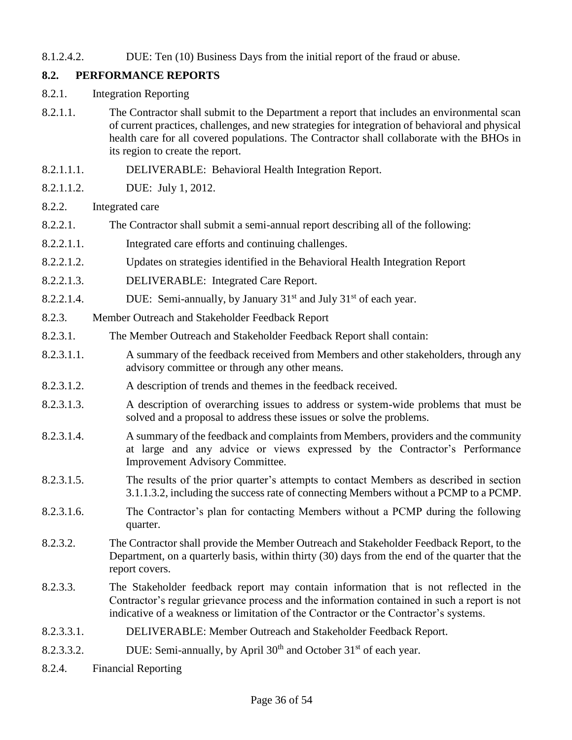8.1.2.4.2. DUE: Ten (10) Business Days from the initial report of the fraud or abuse.

## **8.2. PERFORMANCE REPORTS**

- 8.2.1. Integration Reporting
- 8.2.1.1. The Contractor shall submit to the Department a report that includes an environmental scan of current practices, challenges, and new strategies for integration of behavioral and physical health care for all covered populations. The Contractor shall collaborate with the BHOs in its region to create the report.
- 8.2.1.1.1. DELIVERABLE: Behavioral Health Integration Report.
- 8.2.1.1.2. DUE: July 1, 2012.
- 8.2.2. Integrated care
- 8.2.2.1. The Contractor shall submit a semi-annual report describing all of the following:
- 8.2.2.1.1. Integrated care efforts and continuing challenges.
- 8.2.2.1.2. Updates on strategies identified in the Behavioral Health Integration Report
- 8.2.2.1.3. DELIVERABLE: Integrated Care Report.
- 8.2.2.1.4. DUE: Semi-annually, by January  $31<sup>st</sup>$  and July  $31<sup>st</sup>$  of each year.
- 8.2.3. Member Outreach and Stakeholder Feedback Report
- 8.2.3.1. The Member Outreach and Stakeholder Feedback Report shall contain:
- 8.2.3.1.1. A summary of the feedback received from Members and other stakeholders, through any advisory committee or through any other means.
- 8.2.3.1.2. A description of trends and themes in the feedback received.
- 8.2.3.1.3. A description of overarching issues to address or system-wide problems that must be solved and a proposal to address these issues or solve the problems.
- 8.2.3.1.4. A summary of the feedback and complaints from Members, providers and the community at large and any advice or views expressed by the Contractor's Performance Improvement Advisory Committee.
- 8.2.3.1.5. The results of the prior quarter's attempts to contact Members as described in section 3.1.1.3.2, including the success rate of connecting Members without a PCMP to a PCMP.
- 8.2.3.1.6. The Contractor's plan for contacting Members without a PCMP during the following quarter.
- 8.2.3.2. The Contractor shall provide the Member Outreach and Stakeholder Feedback Report, to the Department, on a quarterly basis, within thirty (30) days from the end of the quarter that the report covers.
- 8.2.3.3. The Stakeholder feedback report may contain information that is not reflected in the Contractor's regular grievance process and the information contained in such a report is not indicative of a weakness or limitation of the Contractor or the Contractor's systems.
- 8.2.3.3.1. DELIVERABLE: Member Outreach and Stakeholder Feedback Report.
- 8.2.3.3.2. DUE: Semi-annually, by April  $30<sup>th</sup>$  and October  $31<sup>st</sup>$  of each year.
- 8.2.4. Financial Reporting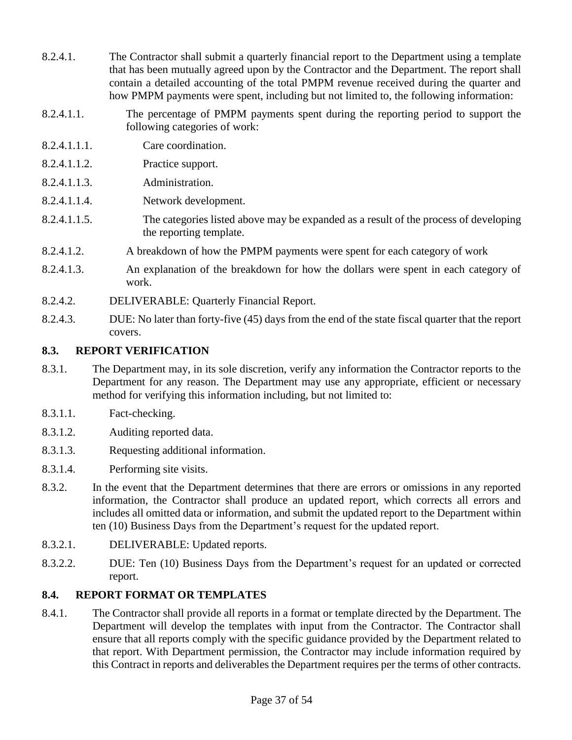- 8.2.4.1. The Contractor shall submit a quarterly financial report to the Department using a template that has been mutually agreed upon by the Contractor and the Department. The report shall contain a detailed accounting of the total PMPM revenue received during the quarter and how PMPM payments were spent, including but not limited to, the following information:
- 8.2.4.1.1. The percentage of PMPM payments spent during the reporting period to support the following categories of work:
- 8.2.4.1.1.1. Care coordination.
- 8.2.4.1.1.2. Practice support.
- 8.2.4.1.1.3. Administration.
- 8.2.4.1.1.4. Network development.
- 8.2.4.1.1.5. The categories listed above may be expanded as a result of the process of developing the reporting template.
- 8.2.4.1.2. A breakdown of how the PMPM payments were spent for each category of work
- 8.2.4.1.3. An explanation of the breakdown for how the dollars were spent in each category of work.
- 8.2.4.2. DELIVERABLE: Quarterly Financial Report.
- 8.2.4.3. DUE: No later than forty-five (45) days from the end of the state fiscal quarter that the report covers.

### **8.3. REPORT VERIFICATION**

- 8.3.1. The Department may, in its sole discretion, verify any information the Contractor reports to the Department for any reason. The Department may use any appropriate, efficient or necessary method for verifying this information including, but not limited to:
- 8.3.1.1. Fact-checking.
- 8.3.1.2. Auditing reported data.
- 8.3.1.3. Requesting additional information.
- 8.3.1.4. Performing site visits.
- 8.3.2. In the event that the Department determines that there are errors or omissions in any reported information, the Contractor shall produce an updated report, which corrects all errors and includes all omitted data or information, and submit the updated report to the Department within ten (10) Business Days from the Department's request for the updated report.
- 8.3.2.1. DELIVERABLE: Updated reports.
- 8.3.2.2. DUE: Ten (10) Business Days from the Department's request for an updated or corrected report.

### **8.4. REPORT FORMAT OR TEMPLATES**

8.4.1. The Contractor shall provide all reports in a format or template directed by the Department. The Department will develop the templates with input from the Contractor. The Contractor shall ensure that all reports comply with the specific guidance provided by the Department related to that report. With Department permission, the Contractor may include information required by this Contract in reports and deliverables the Department requires per the terms of other contracts.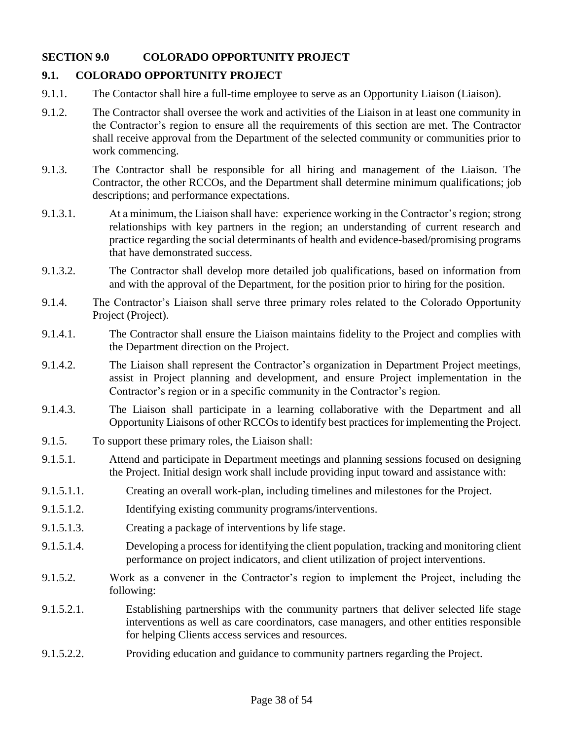## **SECTION 9.0 COLORADO OPPORTUNITY PROJECT**

## **9.1. COLORADO OPPORTUNITY PROJECT**

- 9.1.1. The Contactor shall hire a full-time employee to serve as an Opportunity Liaison (Liaison).
- 9.1.2. The Contractor shall oversee the work and activities of the Liaison in at least one community in the Contractor's region to ensure all the requirements of this section are met. The Contractor shall receive approval from the Department of the selected community or communities prior to work commencing.
- 9.1.3. The Contractor shall be responsible for all hiring and management of the Liaison. The Contractor, the other RCCOs, and the Department shall determine minimum qualifications; job descriptions; and performance expectations.
- 9.1.3.1. At a minimum, the Liaison shall have: experience working in the Contractor's region; strong relationships with key partners in the region; an understanding of current research and practice regarding the social determinants of health and evidence-based/promising programs that have demonstrated success.
- 9.1.3.2. The Contractor shall develop more detailed job qualifications, based on information from and with the approval of the Department, for the position prior to hiring for the position.
- 9.1.4. The Contractor's Liaison shall serve three primary roles related to the Colorado Opportunity Project (Project).
- 9.1.4.1. The Contractor shall ensure the Liaison maintains fidelity to the Project and complies with the Department direction on the Project.
- 9.1.4.2. The Liaison shall represent the Contractor's organization in Department Project meetings, assist in Project planning and development, and ensure Project implementation in the Contractor's region or in a specific community in the Contractor's region.
- 9.1.4.3. The Liaison shall participate in a learning collaborative with the Department and all Opportunity Liaisons of other RCCOs to identify best practices for implementing the Project.
- 9.1.5. To support these primary roles, the Liaison shall:
- 9.1.5.1. Attend and participate in Department meetings and planning sessions focused on designing the Project. Initial design work shall include providing input toward and assistance with:
- 9.1.5.1.1. Creating an overall work-plan, including timelines and milestones for the Project.
- 9.1.5.1.2. Identifying existing community programs/interventions.
- 9.1.5.1.3. Creating a package of interventions by life stage.
- 9.1.5.1.4. Developing a process for identifying the client population, tracking and monitoring client performance on project indicators, and client utilization of project interventions.
- 9.1.5.2. Work as a convener in the Contractor's region to implement the Project, including the following:
- 9.1.5.2.1. Establishing partnerships with the community partners that deliver selected life stage interventions as well as care coordinators, case managers, and other entities responsible for helping Clients access services and resources.
- 9.1.5.2.2. Providing education and guidance to community partners regarding the Project.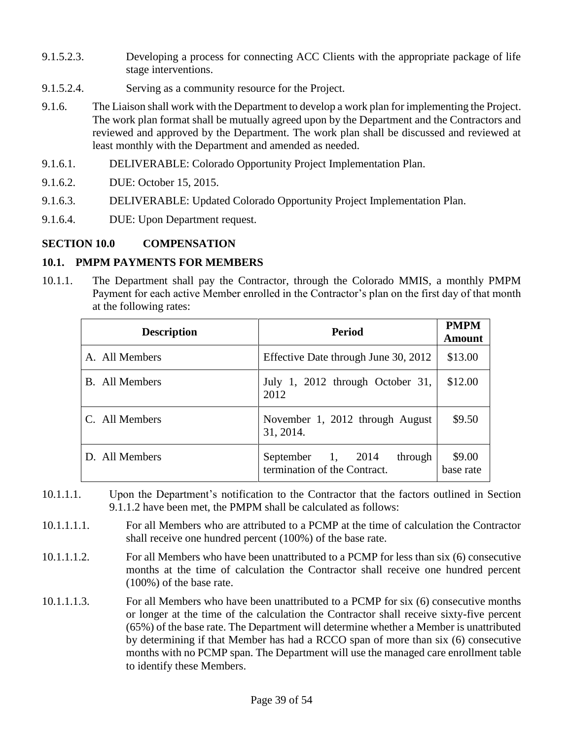- 9.1.5.2.3. Developing a process for connecting ACC Clients with the appropriate package of life stage interventions.
- 9.1.5.2.4. Serving as a community resource for the Project.
- 9.1.6. The Liaison shall work with the Department to develop a work plan for implementing the Project. The work plan format shall be mutually agreed upon by the Department and the Contractors and reviewed and approved by the Department. The work plan shall be discussed and reviewed at least monthly with the Department and amended as needed.
- 9.1.6.1. DELIVERABLE: Colorado Opportunity Project Implementation Plan.
- 9.1.6.2. DUE: October 15, 2015.
- 9.1.6.3. DELIVERABLE: Updated Colorado Opportunity Project Implementation Plan.
- 9.1.6.4. DUE: Upon Department request.

#### **SECTION 10.0 COMPENSATION**

#### **10.1. PMPM PAYMENTS FOR MEMBERS**

10.1.1. The Department shall pay the Contractor, through the Colorado MMIS, a monthly PMPM Payment for each active Member enrolled in the Contractor's plan on the first day of that month at the following rates:

| <b>Description</b> | <b>Period</b>                                                | <b>PMPM</b><br>Amount |
|--------------------|--------------------------------------------------------------|-----------------------|
| A. All Members     | Effective Date through June 30, 2012                         | \$13.00               |
| B. All Members     | July 1, 2012 through October 31,<br>2012                     | \$12.00               |
| C. All Members     | November 1, 2012 through August<br>31, 2014.                 | \$9.50                |
| D. All Members     | September 1, 2014<br>through<br>termination of the Contract. | \$9.00<br>base rate   |

- 10.1.1.1. Upon the Department's notification to the Contractor that the factors outlined in Section 9.1.1.2 have been met, the PMPM shall be calculated as follows:
- 10.1.1.1.1. For all Members who are attributed to a PCMP at the time of calculation the Contractor shall receive one hundred percent (100%) of the base rate.
- 10.1.1.1.2. For all Members who have been unattributed to a PCMP for less than six (6) consecutive months at the time of calculation the Contractor shall receive one hundred percent (100%) of the base rate.
- 10.1.1.1.3. For all Members who have been unattributed to a PCMP for six (6) consecutive months or longer at the time of the calculation the Contractor shall receive sixty-five percent (65%) of the base rate. The Department will determine whether a Member is unattributed by determining if that Member has had a RCCO span of more than six (6) consecutive months with no PCMP span. The Department will use the managed care enrollment table to identify these Members.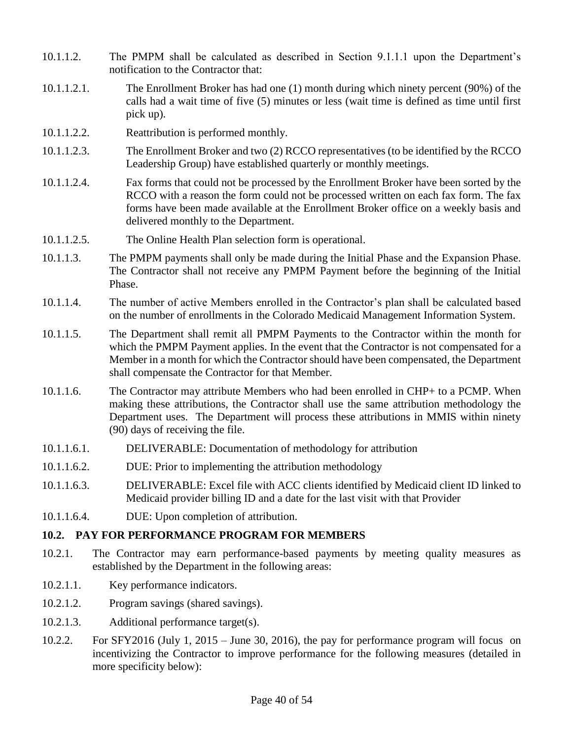- 10.1.1.2. The PMPM shall be calculated as described in Section 9.1.1.1 upon the Department's notification to the Contractor that:
- 10.1.1.2.1. The Enrollment Broker has had one (1) month during which ninety percent (90%) of the calls had a wait time of five (5) minutes or less (wait time is defined as time until first pick up).
- 10.1.1.2.2. Reattribution is performed monthly.
- 10.1.1.2.3. The Enrollment Broker and two (2) RCCO representatives (to be identified by the RCCO Leadership Group) have established quarterly or monthly meetings.
- 10.1.1.2.4. Fax forms that could not be processed by the Enrollment Broker have been sorted by the RCCO with a reason the form could not be processed written on each fax form. The fax forms have been made available at the Enrollment Broker office on a weekly basis and delivered monthly to the Department.
- 10.1.1.2.5. The Online Health Plan selection form is operational.
- 10.1.1.3. The PMPM payments shall only be made during the Initial Phase and the Expansion Phase. The Contractor shall not receive any PMPM Payment before the beginning of the Initial Phase.
- 10.1.1.4. The number of active Members enrolled in the Contractor's plan shall be calculated based on the number of enrollments in the Colorado Medicaid Management Information System.
- 10.1.1.5. The Department shall remit all PMPM Payments to the Contractor within the month for which the PMPM Payment applies. In the event that the Contractor is not compensated for a Member in a month for which the Contractor should have been compensated, the Department shall compensate the Contractor for that Member.
- 10.1.1.6. The Contractor may attribute Members who had been enrolled in CHP+ to a PCMP. When making these attributions, the Contractor shall use the same attribution methodology the Department uses. The Department will process these attributions in MMIS within ninety (90) days of receiving the file.
- 10.1.1.6.1. DELIVERABLE: Documentation of methodology for attribution
- 10.1.1.6.2. DUE: Prior to implementing the attribution methodology
- 10.1.1.6.3. DELIVERABLE: Excel file with ACC clients identified by Medicaid client ID linked to Medicaid provider billing ID and a date for the last visit with that Provider
- 10.1.1.6.4. DUE: Upon completion of attribution.

### **10.2. PAY FOR PERFORMANCE PROGRAM FOR MEMBERS**

- 10.2.1. The Contractor may earn performance-based payments by meeting quality measures as established by the Department in the following areas:
- 10.2.1.1. Key performance indicators.
- 10.2.1.2. Program savings (shared savings).
- 10.2.1.3. Additional performance target(s).
- 10.2.2. For SFY2016 (July 1, 2015 June 30, 2016), the pay for performance program will focus on incentivizing the Contractor to improve performance for the following measures (detailed in more specificity below):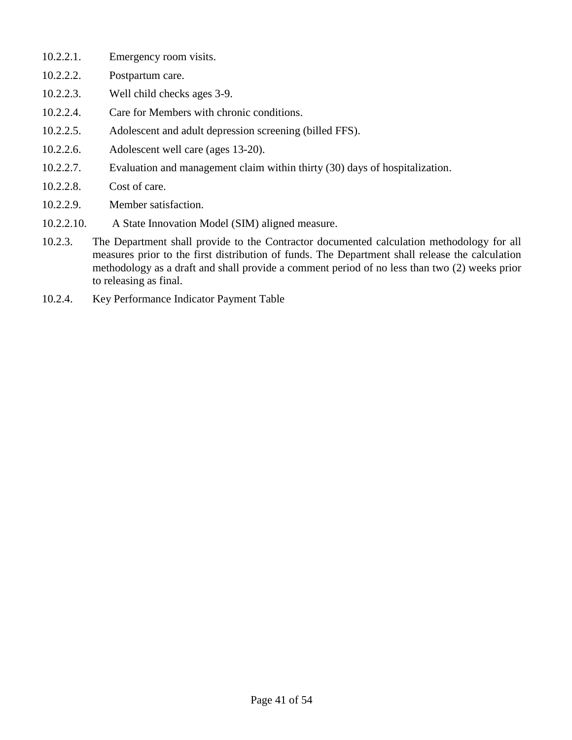- 10.2.2.1. Emergency room visits.
- 10.2.2.2. Postpartum care.
- 10.2.2.3. Well child checks ages 3-9.
- 10.2.2.4. Care for Members with chronic conditions.
- 10.2.2.5. Adolescent and adult depression screening (billed FFS).
- 10.2.2.6. Adolescent well care (ages 13-20).
- 10.2.2.7. Evaluation and management claim within thirty (30) days of hospitalization.
- 10.2.2.8. Cost of care.
- 10.2.2.9. Member satisfaction.
- 10.2.2.10. A State Innovation Model (SIM) aligned measure.
- 10.2.3. The Department shall provide to the Contractor documented calculation methodology for all measures prior to the first distribution of funds. The Department shall release the calculation methodology as a draft and shall provide a comment period of no less than two (2) weeks prior to releasing as final.
- 10.2.4. Key Performance Indicator Payment Table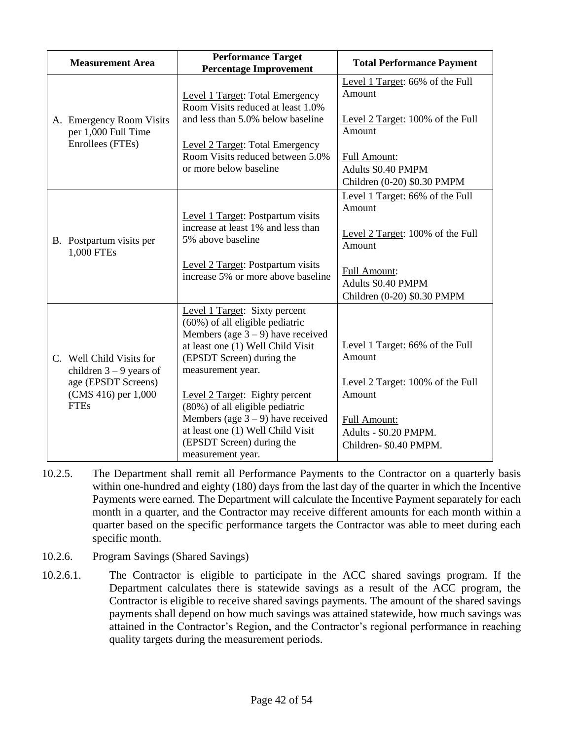| <b>Measurement Area</b>                                                                                            | <b>Performance Target</b><br><b>Percentage Improvement</b>                                                                                                                                                                                                                                                                                                                                          | <b>Total Performance Payment</b>                                                                                                                                    |
|--------------------------------------------------------------------------------------------------------------------|-----------------------------------------------------------------------------------------------------------------------------------------------------------------------------------------------------------------------------------------------------------------------------------------------------------------------------------------------------------------------------------------------------|---------------------------------------------------------------------------------------------------------------------------------------------------------------------|
| A. Emergency Room Visits<br>per 1,000 Full Time<br>Enrollees (FTEs)                                                | <b>Level 1 Target: Total Emergency</b><br>Room Visits reduced at least 1.0%<br>and less than 5.0% below baseline<br><b>Level 2 Target: Total Emergency</b><br>Room Visits reduced between 5.0%<br>or more below baseline                                                                                                                                                                            | Level 1 Target: 66% of the Full<br>Amount<br>Level 2 Target: 100% of the Full<br>Amount<br><b>Full Amount:</b><br>Adults \$0.40 PMPM<br>Children (0-20) \$0.30 PMPM |
| B. Postpartum visits per<br>1,000 FTEs                                                                             | Level 1 Target: Postpartum visits<br>increase at least 1% and less than<br>5% above baseline<br>Level 2 Target: Postpartum visits<br>increase 5% or more above baseline                                                                                                                                                                                                                             | Level 1 Target: 66% of the Full<br>Amount<br>Level 2 Target: 100% of the Full<br>Amount<br>Full Amount:<br>Adults \$0.40 PMPM<br>Children (0-20) \$0.30 PMPM        |
| C. Well Child Visits for<br>children $3 - 9$ years of<br>age (EPSDT Screens)<br>(CMS 416) per 1,000<br><b>FTEs</b> | Level 1 Target: Sixty percent<br>(60%) of all eligible pediatric<br>Members (age $3 - 9$ ) have received<br>at least one (1) Well Child Visit<br>(EPSDT Screen) during the<br>measurement year.<br>Level 2 Target: Eighty percent<br>(80%) of all eligible pediatric<br>Members (age $3 - 9$ ) have received<br>at least one (1) Well Child Visit<br>(EPSDT Screen) during the<br>measurement year. | Level 1 Target: 66% of the Full<br>Amount<br>Level 2 Target: 100% of the Full<br>Amount<br><b>Full Amount:</b><br>Adults - \$0.20 PMPM.<br>Children- \$0.40 PMPM.   |

- 10.2.5. The Department shall remit all Performance Payments to the Contractor on a quarterly basis within one-hundred and eighty (180) days from the last day of the quarter in which the Incentive Payments were earned. The Department will calculate the Incentive Payment separately for each month in a quarter, and the Contractor may receive different amounts for each month within a quarter based on the specific performance targets the Contractor was able to meet during each specific month.
- 10.2.6. Program Savings (Shared Savings)
- 10.2.6.1. The Contractor is eligible to participate in the ACC shared savings program. If the Department calculates there is statewide savings as a result of the ACC program, the Contractor is eligible to receive shared savings payments. The amount of the shared savings payments shall depend on how much savings was attained statewide, how much savings was attained in the Contractor's Region, and the Contractor's regional performance in reaching quality targets during the measurement periods.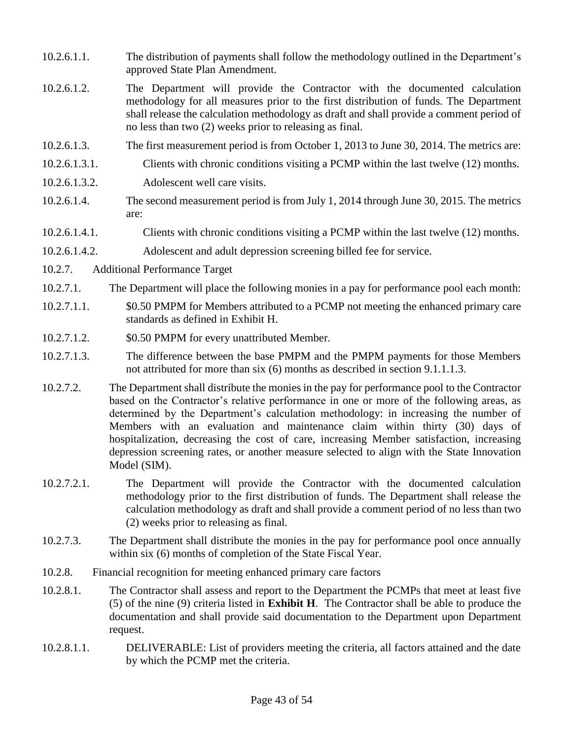- 10.2.6.1.1. The distribution of payments shall follow the methodology outlined in the Department's approved State Plan Amendment.
- 10.2.6.1.2. The Department will provide the Contractor with the documented calculation methodology for all measures prior to the first distribution of funds. The Department shall release the calculation methodology as draft and shall provide a comment period of no less than two (2) weeks prior to releasing as final.
- 10.2.6.1.3. The first measurement period is from October 1, 2013 to June 30, 2014. The metrics are:
- 10.2.6.1.3.1. Clients with chronic conditions visiting a PCMP within the last twelve (12) months.
- 10.2.6.1.3.2. Adolescent well care visits.
- 10.2.6.1.4. The second measurement period is from July 1, 2014 through June 30, 2015. The metrics are:
- 10.2.6.1.4.1. Clients with chronic conditions visiting a PCMP within the last twelve (12) months.
- 10.2.6.1.4.2. Adolescent and adult depression screening billed fee for service.
- 10.2.7. Additional Performance Target
- 10.2.7.1. The Department will place the following monies in a pay for performance pool each month:
- 10.2.7.1.1. \$0.50 PMPM for Members attributed to a PCMP not meeting the enhanced primary care standards as defined in Exhibit H.
- 10.2.7.1.2. \$0.50 PMPM for every unattributed Member.
- 10.2.7.1.3. The difference between the base PMPM and the PMPM payments for those Members not attributed for more than six (6) months as described in section 9.1.1.1.3.
- 10.2.7.2. The Department shall distribute the monies in the pay for performance pool to the Contractor based on the Contractor's relative performance in one or more of the following areas, as determined by the Department's calculation methodology: in increasing the number of Members with an evaluation and maintenance claim within thirty (30) days of hospitalization, decreasing the cost of care, increasing Member satisfaction, increasing depression screening rates, or another measure selected to align with the State Innovation Model (SIM).
- 10.2.7.2.1. The Department will provide the Contractor with the documented calculation methodology prior to the first distribution of funds. The Department shall release the calculation methodology as draft and shall provide a comment period of no less than two (2) weeks prior to releasing as final.
- 10.2.7.3. The Department shall distribute the monies in the pay for performance pool once annually within six (6) months of completion of the State Fiscal Year.
- 10.2.8. Financial recognition for meeting enhanced primary care factors
- 10.2.8.1. The Contractor shall assess and report to the Department the PCMPs that meet at least five (5) of the nine (9) criteria listed in **Exhibit H**. The Contractor shall be able to produce the documentation and shall provide said documentation to the Department upon Department request.
- 10.2.8.1.1. DELIVERABLE: List of providers meeting the criteria, all factors attained and the date by which the PCMP met the criteria.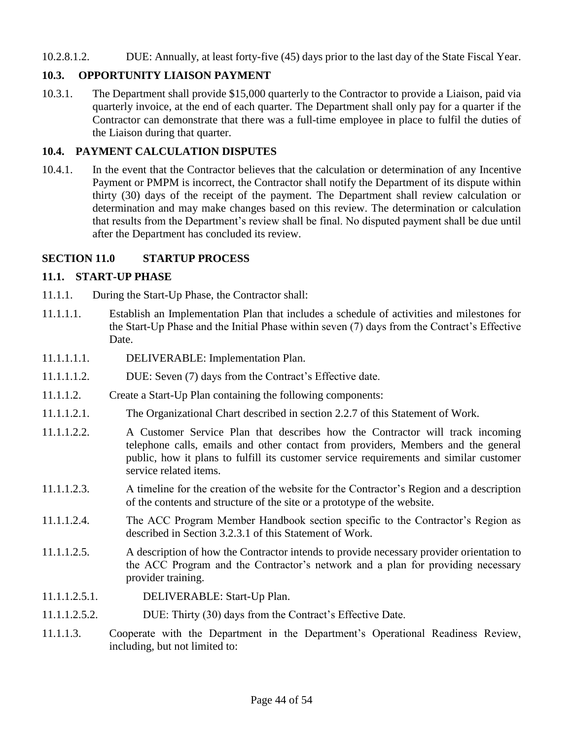#### 10.2.8.1.2. DUE: Annually, at least forty-five (45) days prior to the last day of the State Fiscal Year.

### **10.3. OPPORTUNITY LIAISON PAYMENT**

10.3.1. The Department shall provide \$15,000 quarterly to the Contractor to provide a Liaison, paid via quarterly invoice, at the end of each quarter. The Department shall only pay for a quarter if the Contractor can demonstrate that there was a full-time employee in place to fulfil the duties of the Liaison during that quarter.

#### **10.4. PAYMENT CALCULATION DISPUTES**

10.4.1. In the event that the Contractor believes that the calculation or determination of any Incentive Payment or PMPM is incorrect, the Contractor shall notify the Department of its dispute within thirty (30) days of the receipt of the payment. The Department shall review calculation or determination and may make changes based on this review. The determination or calculation that results from the Department's review shall be final. No disputed payment shall be due until after the Department has concluded its review.

#### **SECTION 11.0 STARTUP PROCESS**

#### **11.1. START-UP PHASE**

- 11.1.1. During the Start-Up Phase, the Contractor shall:
- 11.1.1.1. Establish an Implementation Plan that includes a schedule of activities and milestones for the Start-Up Phase and the Initial Phase within seven (7) days from the Contract's Effective Date.
- 11.1.1.1.1. DELIVERABLE: Implementation Plan.
- 11.1.1.1.2. DUE: Seven (7) days from the Contract's Effective date.
- 11.1.1.2. Create a Start-Up Plan containing the following components:
- 11.1.1.2.1. The Organizational Chart described in section 2.2.7 of this Statement of Work.
- 11.1.1.2.2. A Customer Service Plan that describes how the Contractor will track incoming telephone calls, emails and other contact from providers, Members and the general public, how it plans to fulfill its customer service requirements and similar customer service related items.
- 11.1.1.2.3. A timeline for the creation of the website for the Contractor's Region and a description of the contents and structure of the site or a prototype of the website.
- 11.1.1.2.4. The ACC Program Member Handbook section specific to the Contractor's Region as described in Section 3.2.3.1 of this Statement of Work.
- 11.1.1.2.5. A description of how the Contractor intends to provide necessary provider orientation to the ACC Program and the Contractor's network and a plan for providing necessary provider training.
- 11.1.1.2.5.1. DELIVERABLE: Start-Up Plan.
- 11.1.1.2.5.2. DUE: Thirty (30) days from the Contract's Effective Date.
- 11.1.1.3. Cooperate with the Department in the Department's Operational Readiness Review, including, but not limited to: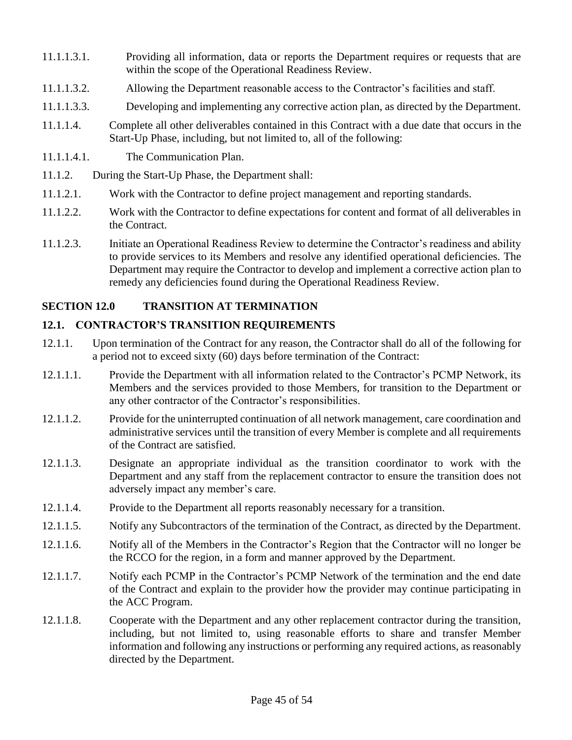- 11.1.1.3.1. Providing all information, data or reports the Department requires or requests that are within the scope of the Operational Readiness Review.
- 11.1.1.3.2. Allowing the Department reasonable access to the Contractor's facilities and staff.
- 11.1.1.3.3. Developing and implementing any corrective action plan, as directed by the Department.
- 11.1.1.4. Complete all other deliverables contained in this Contract with a due date that occurs in the Start-Up Phase, including, but not limited to, all of the following:
- 11.1.1.4.1. The Communication Plan.
- 11.1.2. During the Start-Up Phase, the Department shall:
- 11.1.2.1. Work with the Contractor to define project management and reporting standards.
- 11.1.2.2. Work with the Contractor to define expectations for content and format of all deliverables in the Contract.
- 11.1.2.3. Initiate an Operational Readiness Review to determine the Contractor's readiness and ability to provide services to its Members and resolve any identified operational deficiencies. The Department may require the Contractor to develop and implement a corrective action plan to remedy any deficiencies found during the Operational Readiness Review.

# **SECTION 12.0 TRANSITION AT TERMINATION**

## **12.1. CONTRACTOR'S TRANSITION REQUIREMENTS**

- 12.1.1. Upon termination of the Contract for any reason, the Contractor shall do all of the following for a period not to exceed sixty (60) days before termination of the Contract:
- 12.1.1.1. Provide the Department with all information related to the Contractor's PCMP Network, its Members and the services provided to those Members, for transition to the Department or any other contractor of the Contractor's responsibilities.
- 12.1.1.2. Provide for the uninterrupted continuation of all network management, care coordination and administrative services until the transition of every Member is complete and all requirements of the Contract are satisfied.
- 12.1.1.3. Designate an appropriate individual as the transition coordinator to work with the Department and any staff from the replacement contractor to ensure the transition does not adversely impact any member's care.
- 12.1.1.4. Provide to the Department all reports reasonably necessary for a transition.
- 12.1.1.5. Notify any Subcontractors of the termination of the Contract, as directed by the Department.
- 12.1.1.6. Notify all of the Members in the Contractor's Region that the Contractor will no longer be the RCCO for the region, in a form and manner approved by the Department.
- 12.1.1.7. Notify each PCMP in the Contractor's PCMP Network of the termination and the end date of the Contract and explain to the provider how the provider may continue participating in the ACC Program.
- 12.1.1.8. Cooperate with the Department and any other replacement contractor during the transition, including, but not limited to, using reasonable efforts to share and transfer Member information and following any instructions or performing any required actions, as reasonably directed by the Department.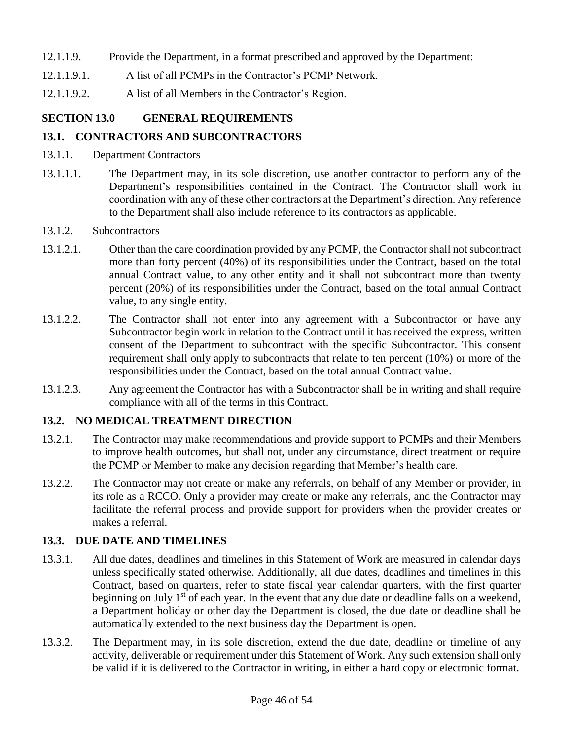- 12.1.1.9. Provide the Department, in a format prescribed and approved by the Department:
- 12.1.1.9.1. A list of all PCMPs in the Contractor's PCMP Network.
- 12.1.1.9.2. A list of all Members in the Contractor's Region.

# **SECTION 13.0 GENERAL REQUIREMENTS**

# **13.1. CONTRACTORS AND SUBCONTRACTORS**

- 13.1.1. Department Contractors
- 13.1.1.1. The Department may, in its sole discretion, use another contractor to perform any of the Department's responsibilities contained in the Contract. The Contractor shall work in coordination with any of these other contractors at the Department's direction. Any reference to the Department shall also include reference to its contractors as applicable.
- 13.1.2. Subcontractors
- 13.1.2.1. Other than the care coordination provided by any PCMP, the Contractor shall not subcontract more than forty percent (40%) of its responsibilities under the Contract, based on the total annual Contract value, to any other entity and it shall not subcontract more than twenty percent (20%) of its responsibilities under the Contract, based on the total annual Contract value, to any single entity.
- 13.1.2.2. The Contractor shall not enter into any agreement with a Subcontractor or have any Subcontractor begin work in relation to the Contract until it has received the express, written consent of the Department to subcontract with the specific Subcontractor. This consent requirement shall only apply to subcontracts that relate to ten percent (10%) or more of the responsibilities under the Contract, based on the total annual Contract value.
- 13.1.2.3. Any agreement the Contractor has with a Subcontractor shall be in writing and shall require compliance with all of the terms in this Contract.

# **13.2. NO MEDICAL TREATMENT DIRECTION**

- 13.2.1. The Contractor may make recommendations and provide support to PCMPs and their Members to improve health outcomes, but shall not, under any circumstance, direct treatment or require the PCMP or Member to make any decision regarding that Member's health care.
- 13.2.2. The Contractor may not create or make any referrals, on behalf of any Member or provider, in its role as a RCCO. Only a provider may create or make any referrals, and the Contractor may facilitate the referral process and provide support for providers when the provider creates or makes a referral.

# **13.3. DUE DATE AND TIMELINES**

- 13.3.1. All due dates, deadlines and timelines in this Statement of Work are measured in calendar days unless specifically stated otherwise. Additionally, all due dates, deadlines and timelines in this Contract, based on quarters, refer to state fiscal year calendar quarters, with the first quarter beginning on July  $1<sup>st</sup>$  of each year. In the event that any due date or deadline falls on a weekend, a Department holiday or other day the Department is closed, the due date or deadline shall be automatically extended to the next business day the Department is open.
- 13.3.2. The Department may, in its sole discretion, extend the due date, deadline or timeline of any activity, deliverable or requirement under this Statement of Work. Any such extension shall only be valid if it is delivered to the Contractor in writing, in either a hard copy or electronic format.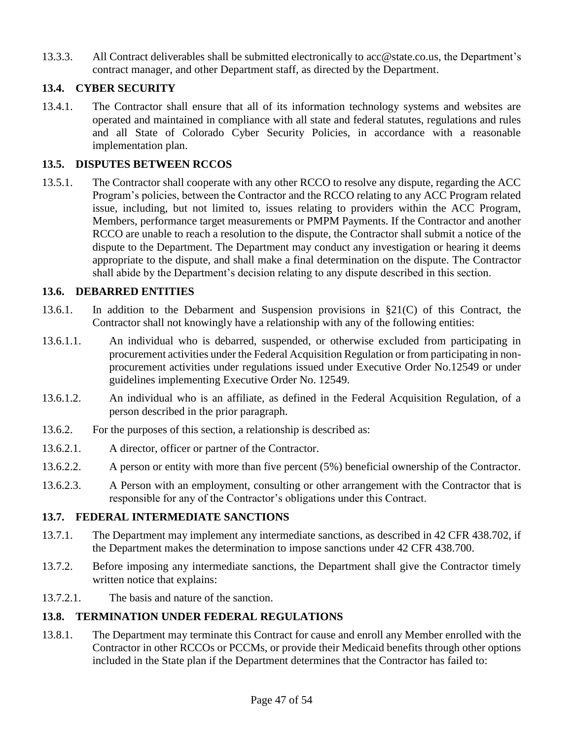13.3.3. All Contract deliverables shall be submitted electronically to [acc@state.co.us,](mailto:acc@state.co.us) the Department's contract manager, and other Department staff, as directed by the Department.

## **13.4. CYBER SECURITY**

13.4.1. The Contractor shall ensure that all of its information technology systems and websites are operated and maintained in compliance with all state and federal statutes, regulations and rules and all State of Colorado Cyber Security Policies, in accordance with a reasonable implementation plan.

## **13.5. DISPUTES BETWEEN RCCOS**

13.5.1. The Contractor shall cooperate with any other RCCO to resolve any dispute, regarding the ACC Program's policies, between the Contractor and the RCCO relating to any ACC Program related issue, including, but not limited to, issues relating to providers within the ACC Program, Members, performance target measurements or PMPM Payments. If the Contractor and another RCCO are unable to reach a resolution to the dispute, the Contractor shall submit a notice of the dispute to the Department. The Department may conduct any investigation or hearing it deems appropriate to the dispute, and shall make a final determination on the dispute. The Contractor shall abide by the Department's decision relating to any dispute described in this section.

## **13.6. DEBARRED ENTITIES**

- 13.6.1. In addition to the Debarment and Suspension provisions in §21(C) of this Contract, the Contractor shall not knowingly have a relationship with any of the following entities:
- 13.6.1.1. An individual who is debarred, suspended, or otherwise excluded from participating in procurement activities under the Federal Acquisition Regulation or from participating in nonprocurement activities under regulations issued under Executive Order No.12549 or under guidelines implementing Executive Order No. 12549.
- 13.6.1.2. An individual who is an affiliate, as defined in the Federal Acquisition Regulation, of a person described in the prior paragraph.
- 13.6.2. For the purposes of this section, a relationship is described as:
- 13.6.2.1. A director, officer or partner of the Contractor.
- 13.6.2.2. A person or entity with more than five percent (5%) beneficial ownership of the Contractor.
- 13.6.2.3. A Person with an employment, consulting or other arrangement with the Contractor that is responsible for any of the Contractor's obligations under this Contract.

### **13.7. FEDERAL INTERMEDIATE SANCTIONS**

- 13.7.1. The Department may implement any intermediate sanctions, as described in 42 CFR 438.702, if the Department makes the determination to impose sanctions under 42 CFR 438.700.
- 13.7.2. Before imposing any intermediate sanctions, the Department shall give the Contractor timely written notice that explains:
- 13.7.2.1. The basis and nature of the sanction.

# **13.8. TERMINATION UNDER FEDERAL REGULATIONS**

13.8.1. The Department may terminate this Contract for cause and enroll any Member enrolled with the Contractor in other RCCOs or PCCMs, or provide their Medicaid benefits through other options included in the State plan if the Department determines that the Contractor has failed to: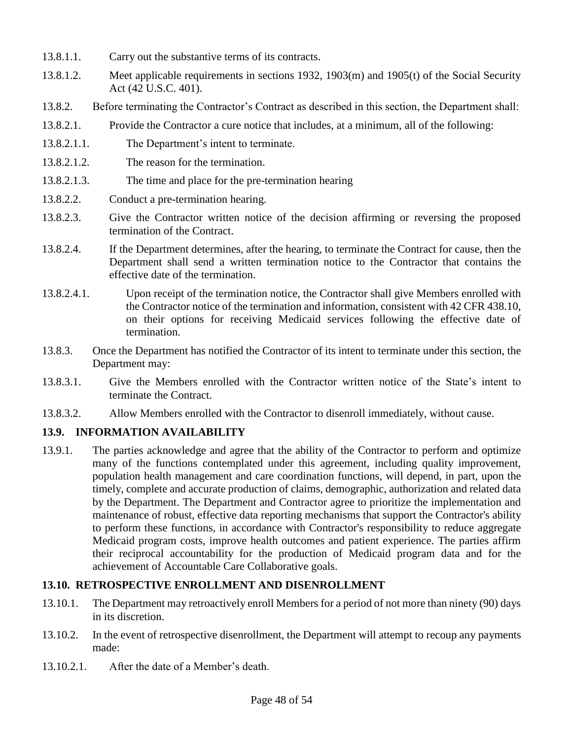- 13.8.1.1. Carry out the substantive terms of its contracts.
- 13.8.1.2. Meet applicable requirements in sections 1932, 1903(m) and 1905(t) of the Social Security Act (42 U.S.C. 401).
- 13.8.2. Before terminating the Contractor's Contract as described in this section, the Department shall:
- 13.8.2.1. Provide the Contractor a cure notice that includes, at a minimum, all of the following:
- 13.8.2.1.1. The Department's intent to terminate.
- 13.8.2.1.2. The reason for the termination.
- 13.8.2.1.3. The time and place for the pre-termination hearing
- 13.8.2.2. Conduct a pre-termination hearing.
- 13.8.2.3. Give the Contractor written notice of the decision affirming or reversing the proposed termination of the Contract.
- 13.8.2.4. If the Department determines, after the hearing, to terminate the Contract for cause, then the Department shall send a written termination notice to the Contractor that contains the effective date of the termination.
- 13.8.2.4.1. Upon receipt of the termination notice, the Contractor shall give Members enrolled with the Contractor notice of the termination and information, consistent with 42 CFR 438.10, on their options for receiving Medicaid services following the effective date of termination.
- 13.8.3. Once the Department has notified the Contractor of its intent to terminate under this section, the Department may:
- 13.8.3.1. Give the Members enrolled with the Contractor written notice of the State's intent to terminate the Contract.
- 13.8.3.2. Allow Members enrolled with the Contractor to disenroll immediately, without cause.

# **13.9. INFORMATION AVAILABILITY**

13.9.1. The parties acknowledge and agree that the ability of the Contractor to perform and optimize many of the functions contemplated under this agreement, including quality improvement, population health management and care coordination functions, will depend, in part, upon the timely, complete and accurate production of claims, demographic, authorization and related data by the Department. The Department and Contractor agree to prioritize the implementation and maintenance of robust, effective data reporting mechanisms that support the Contractor's ability to perform these functions, in accordance with Contractor's responsibility to reduce aggregate Medicaid program costs, improve health outcomes and patient experience. The parties affirm their reciprocal accountability for the production of Medicaid program data and for the achievement of Accountable Care Collaborative goals.

### **13.10. RETROSPECTIVE ENROLLMENT AND DISENROLLMENT**

- 13.10.1. The Department may retroactively enroll Members for a period of not more than ninety (90) days in its discretion.
- 13.10.2. In the event of retrospective disenrollment, the Department will attempt to recoup any payments made:
- 13.10.2.1. After the date of a Member's death.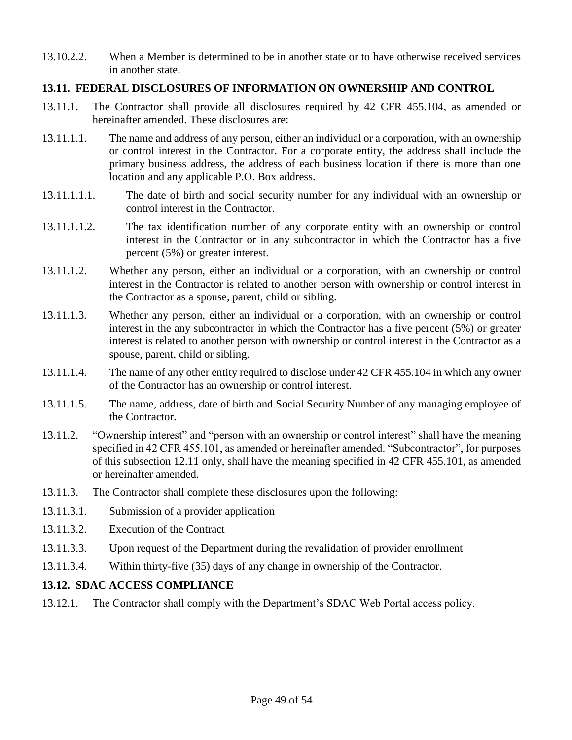13.10.2.2. When a Member is determined to be in another state or to have otherwise received services in another state.

## **13.11. FEDERAL DISCLOSURES OF INFORMATION ON OWNERSHIP AND CONTROL**

- 13.11.1. The Contractor shall provide all disclosures required by 42 CFR 455.104, as amended or hereinafter amended. These disclosures are:
- 13.11.1.1. The name and address of any person, either an individual or a corporation, with an ownership or control interest in the Contractor. For a corporate entity, the address shall include the primary business address, the address of each business location if there is more than one location and any applicable P.O. Box address.
- 13.11.1.1.1. The date of birth and social security number for any individual with an ownership or control interest in the Contractor.
- 13.11.1.1.2. The tax identification number of any corporate entity with an ownership or control interest in the Contractor or in any subcontractor in which the Contractor has a five percent (5%) or greater interest.
- 13.11.1.2. Whether any person, either an individual or a corporation, with an ownership or control interest in the Contractor is related to another person with ownership or control interest in the Contractor as a spouse, parent, child or sibling.
- 13.11.1.3. Whether any person, either an individual or a corporation, with an ownership or control interest in the any subcontractor in which the Contractor has a five percent (5%) or greater interest is related to another person with ownership or control interest in the Contractor as a spouse, parent, child or sibling.
- 13.11.1.4. The name of any other entity required to disclose under 42 CFR 455.104 in which any owner of the Contractor has an ownership or control interest.
- 13.11.1.5. The name, address, date of birth and Social Security Number of any managing employee of the Contractor.
- 13.11.2. "Ownership interest" and "person with an ownership or control interest" shall have the meaning specified in 42 CFR 455.101, as amended or hereinafter amended. "Subcontractor", for purposes of this subsection 12.11 only, shall have the meaning specified in 42 CFR 455.101, as amended or hereinafter amended.
- 13.11.3. The Contractor shall complete these disclosures upon the following:
- 13.11.3.1. Submission of a provider application
- 13.11.3.2. Execution of the Contract
- 13.11.3.3. Upon request of the Department during the revalidation of provider enrollment
- 13.11.3.4. Within thirty-five (35) days of any change in ownership of the Contractor.

### **13.12. SDAC ACCESS COMPLIANCE**

13.12.1. The Contractor shall comply with the Department's SDAC Web Portal access policy.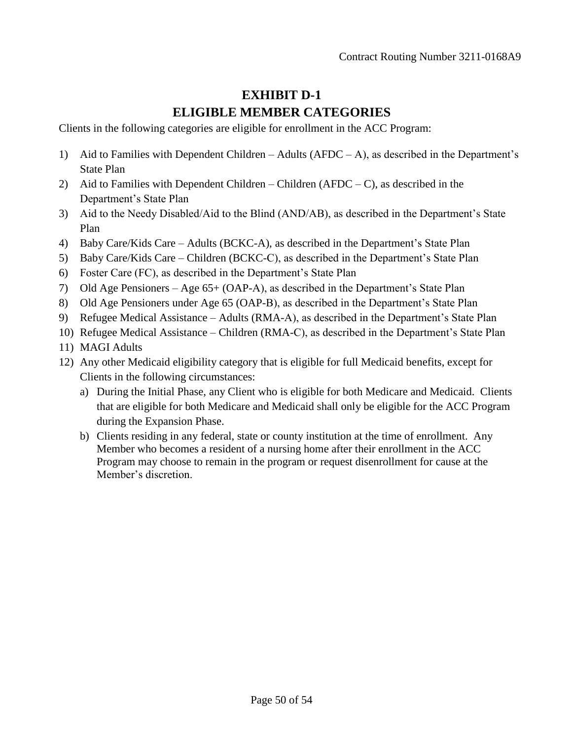# **EXHIBIT D-1 ELIGIBLE MEMBER CATEGORIES**

Clients in the following categories are eligible for enrollment in the ACC Program:

- 1) Aid to Families with Dependent Children Adults  $(AFDC A)$ , as described in the Department's State Plan
- 2) Aid to Families with Dependent Children Children (AFDC C), as described in the Department's State Plan
- 3) Aid to the Needy Disabled/Aid to the Blind (AND/AB), as described in the Department's State Plan
- 4) Baby Care/Kids Care Adults (BCKC-A), as described in the Department's State Plan
- 5) Baby Care/Kids Care Children (BCKC-C), as described in the Department's State Plan
- 6) Foster Care (FC), as described in the Department's State Plan
- 7) Old Age Pensioners Age 65+ (OAP-A), as described in the Department's State Plan
- 8) Old Age Pensioners under Age 65 (OAP-B), as described in the Department's State Plan
- 9) Refugee Medical Assistance Adults (RMA-A), as described in the Department's State Plan
- 10) Refugee Medical Assistance Children (RMA-C), as described in the Department's State Plan
- 11) MAGI Adults
- 12) Any other Medicaid eligibility category that is eligible for full Medicaid benefits, except for Clients in the following circumstances:
	- a) During the Initial Phase, any Client who is eligible for both Medicare and Medicaid. Clients that are eligible for both Medicare and Medicaid shall only be eligible for the ACC Program during the Expansion Phase.
	- b) Clients residing in any federal, state or county institution at the time of enrollment. Any Member who becomes a resident of a nursing home after their enrollment in the ACC Program may choose to remain in the program or request disenrollment for cause at the Member's discretion.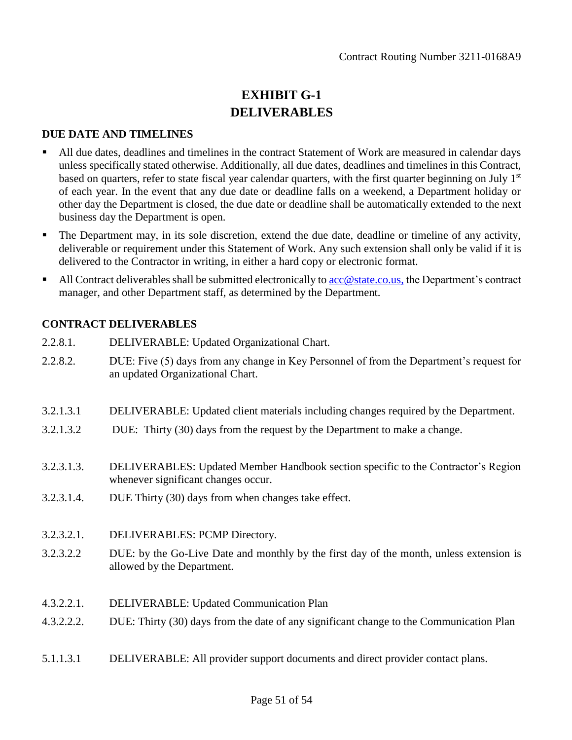# **EXHIBIT G-1 DELIVERABLES**

#### **DUE DATE AND TIMELINES**

- All due dates, deadlines and timelines in the contract Statement of Work are measured in calendar days unless specifically stated otherwise. Additionally, all due dates, deadlines and timelines in this Contract, based on quarters, refer to state fiscal year calendar quarters, with the first quarter beginning on July  $1<sup>st</sup>$ of each year. In the event that any due date or deadline falls on a weekend, a Department holiday or other day the Department is closed, the due date or deadline shall be automatically extended to the next business day the Department is open.
- The Department may, in its sole discretion, extend the due date, deadline or timeline of any activity, deliverable or requirement under this Statement of Work. Any such extension shall only be valid if it is delivered to the Contractor in writing, in either a hard copy or electronic format.
- All Contract deliverables shall be submitted electronically to  $\text{acc@state.co.us},$  the Department's contract manager, and other Department staff, as determined by the Department.

## **CONTRACT DELIVERABLES**

- 2.2.8.1. DELIVERABLE: Updated Organizational Chart.
- 2.2.8.2. DUE: Five (5) days from any change in Key Personnel of from the Department's request for an updated Organizational Chart.
- 3.2.1.3.1 DELIVERABLE: Updated client materials including changes required by the Department.
- 3.2.1.3.2 DUE: Thirty (30) days from the request by the Department to make a change.
- 3.2.3.1.3. DELIVERABLES: Updated Member Handbook section specific to the Contractor's Region whenever significant changes occur.
- 3.2.3.1.4. DUE Thirty (30) days from when changes take effect.
- 3.2.3.2.1. DELIVERABLES: PCMP Directory.
- 3.2.3.2.2 DUE: by the Go-Live Date and monthly by the first day of the month, unless extension is allowed by the Department.
- 4.3.2.2.1. DELIVERABLE: Updated Communication Plan
- 4.3.2.2.2. DUE: Thirty (30) days from the date of any significant change to the Communication Plan
- 5.1.1.3.1 DELIVERABLE: All provider support documents and direct provider contact plans.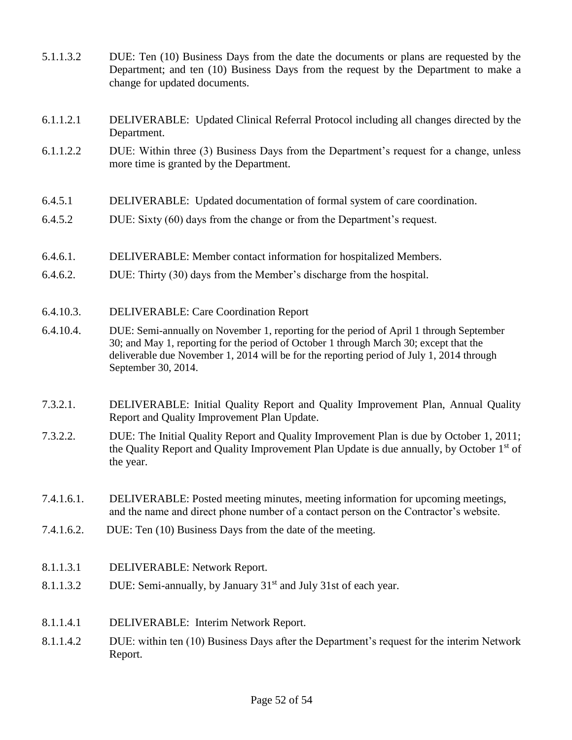| 5.1.1.3.2  | DUE: Ten (10) Business Days from the date the documents or plans are requested by the<br>Department; and ten (10) Business Days from the request by the Department to make a<br>change for updated documents.                                                                                         |
|------------|-------------------------------------------------------------------------------------------------------------------------------------------------------------------------------------------------------------------------------------------------------------------------------------------------------|
| 6.1.1.2.1  | DELIVERABLE: Updated Clinical Referral Protocol including all changes directed by the<br>Department.                                                                                                                                                                                                  |
| 6.1.1.2.2  | DUE: Within three (3) Business Days from the Department's request for a change, unless<br>more time is granted by the Department.                                                                                                                                                                     |
| 6.4.5.1    | DELIVERABLE: Updated documentation of formal system of care coordination.                                                                                                                                                                                                                             |
| 6.4.5.2    | DUE: Sixty (60) days from the change or from the Department's request.                                                                                                                                                                                                                                |
| 6.4.6.1.   | DELIVERABLE: Member contact information for hospitalized Members.                                                                                                                                                                                                                                     |
| 6.4.6.2.   | DUE: Thirty (30) days from the Member's discharge from the hospital.                                                                                                                                                                                                                                  |
| 6.4.10.3.  | <b>DELIVERABLE: Care Coordination Report</b>                                                                                                                                                                                                                                                          |
| 6.4.10.4.  | DUE: Semi-annually on November 1, reporting for the period of April 1 through September<br>30; and May 1, reporting for the period of October 1 through March 30; except that the<br>deliverable due November 1, 2014 will be for the reporting period of July 1, 2014 through<br>September 30, 2014. |
| 7.3.2.1.   | DELIVERABLE: Initial Quality Report and Quality Improvement Plan, Annual Quality<br>Report and Quality Improvement Plan Update.                                                                                                                                                                       |
| 7.3.2.2.   | DUE: The Initial Quality Report and Quality Improvement Plan is due by October 1, 2011;<br>the Quality Report and Quality Improvement Plan Update is due annually, by October 1 <sup>st</sup> of<br>the year.                                                                                         |
| 7.4.1.6.1. | DELIVERABLE: Posted meeting minutes, meeting information for upcoming meetings,<br>and the name and direct phone number of a contact person on the Contractor's website.                                                                                                                              |
| 7.4.1.6.2. | DUE: Ten (10) Business Days from the date of the meeting.                                                                                                                                                                                                                                             |
| 8.1.1.3.1  | DELIVERABLE: Network Report.                                                                                                                                                                                                                                                                          |
| 8.1.1.3.2  | DUE: Semi-annually, by January 31 <sup>st</sup> and July 31st of each year.                                                                                                                                                                                                                           |
| 8.1.1.4.1  | DELIVERABLE: Interim Network Report.                                                                                                                                                                                                                                                                  |
| 8.1.1.4.2  | DUE: within ten (10) Business Days after the Department's request for the interim Network<br>Report.                                                                                                                                                                                                  |
|            |                                                                                                                                                                                                                                                                                                       |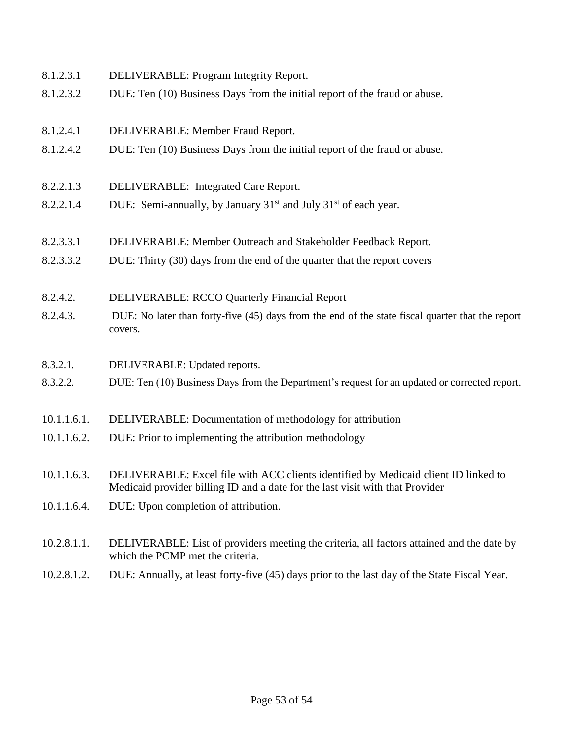| 8.1.2.4.1   | DELIVERABLE: Member Fraud Report.                                                                                                                                    |
|-------------|----------------------------------------------------------------------------------------------------------------------------------------------------------------------|
| 8.1.2.4.2   | DUE: Ten (10) Business Days from the initial report of the fraud or abuse.                                                                                           |
|             |                                                                                                                                                                      |
| 8.2.2.1.3   | DELIVERABLE: Integrated Care Report.                                                                                                                                 |
| 8.2.2.1.4   | DUE: Semi-annually, by January $31st$ and July $31st$ of each year.                                                                                                  |
|             |                                                                                                                                                                      |
| 8.2.3.3.1   | DELIVERABLE: Member Outreach and Stakeholder Feedback Report.                                                                                                        |
| 8.2.3.3.2   | DUE: Thirty (30) days from the end of the quarter that the report covers                                                                                             |
|             |                                                                                                                                                                      |
| 8.2.4.2.    | <b>DELIVERABLE: RCCO Quarterly Financial Report</b>                                                                                                                  |
| 8.2.4.3.    | DUE: No later than forty-five (45) days from the end of the state fiscal quarter that the report<br>covers.                                                          |
|             |                                                                                                                                                                      |
| 8.3.2.1.    | DELIVERABLE: Updated reports.                                                                                                                                        |
| 8.3.2.2.    | DUE: Ten (10) Business Days from the Department's request for an updated or corrected report.                                                                        |
|             |                                                                                                                                                                      |
| 10.1.1.6.1. | DELIVERABLE: Documentation of methodology for attribution                                                                                                            |
| 10.1.1.6.2. | DUE: Prior to implementing the attribution methodology                                                                                                               |
|             |                                                                                                                                                                      |
| 10.1.1.6.3. | DELIVERABLE: Excel file with ACC clients identified by Medicaid client ID linked to<br>Medicaid provider billing ID and a date for the last visit with that Provider |
| 10.1.1.6.4. | DUE: Upon completion of attribution.                                                                                                                                 |
|             |                                                                                                                                                                      |
| 10.2.8.1.1. | DELIVERABLE: List of providers meeting the criteria, all factors attained and the date by<br>which the PCMP met the criteria.                                        |
|             |                                                                                                                                                                      |

8.1.2.3.1 DELIVERABLE: Program Integrity Report.

8.1.2.3.2 DUE: Ten (10) Business Days from the initial report of the fraud or abuse.